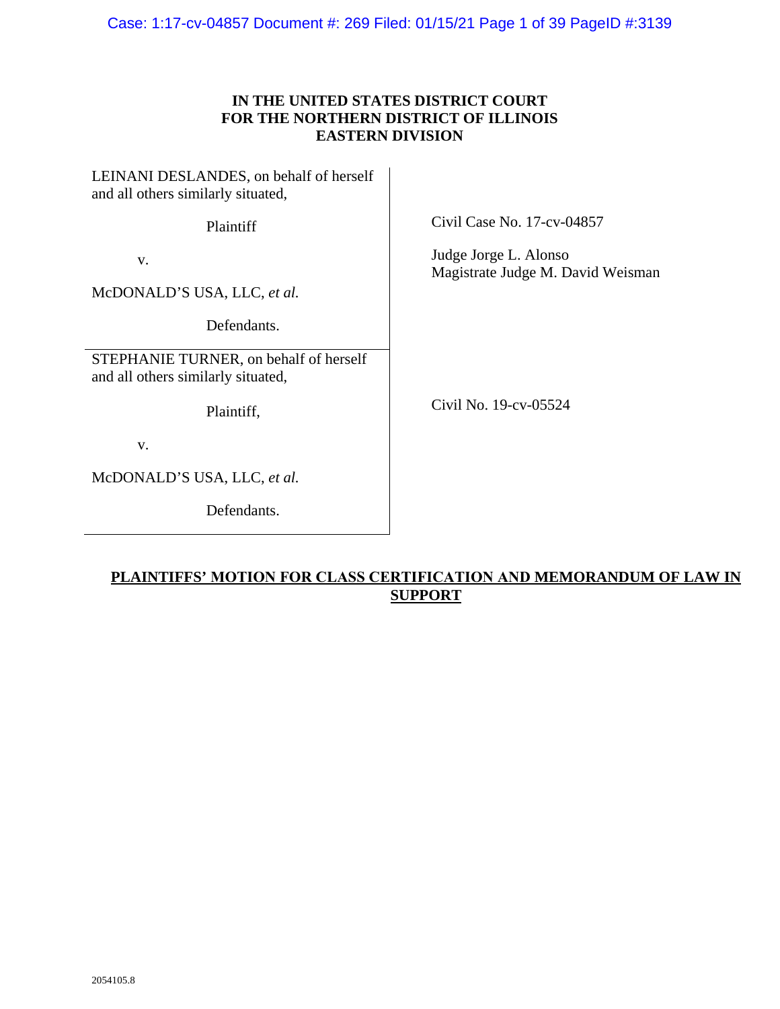Case: 1:17-cv-04857 Document #: 269 Filed: 01/15/21 Page 1 of 39 PageID #:3139

## **IN THE UNITED STATES DISTRICT COURT FOR THE NORTHERN DISTRICT OF ILLINOIS EASTERN DIVISION**

LEINANI DESLANDES, on behalf of herself and all others similarly situated,

Plaintiff

v.

McDONALD'S USA, LLC, *et al.*

Defendants.

STEPHANIE TURNER, on behalf of herself and all others similarly situated,

Plaintiff,

v.

McDONALD'S USA, LLC, *et al.*

Defendants.

Civil Case No. 17-cv-04857

Judge Jorge L. Alonso Magistrate Judge M. David Weisman

Civil No. 19-cv-05524

# **PLAINTIFFS' MOTION FOR CLASS CERTIFICATION AND MEMORANDUM OF LAW IN SUPPORT**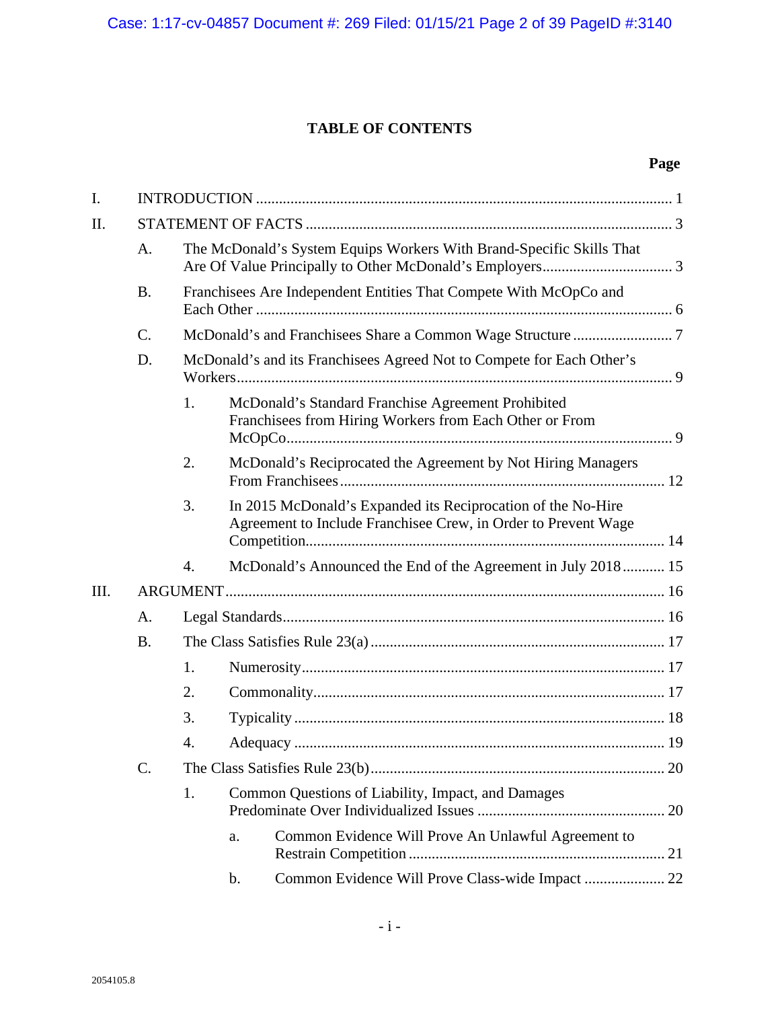# **TABLE OF CONTENTS**

# **Page**

| I.   |           |    |                                                                                                                                |  |  |  |
|------|-----------|----|--------------------------------------------------------------------------------------------------------------------------------|--|--|--|
| II.  |           |    |                                                                                                                                |  |  |  |
|      | A.        |    | The McDonald's System Equips Workers With Brand-Specific Skills That                                                           |  |  |  |
|      | <b>B.</b> |    | Franchisees Are Independent Entities That Compete With McOpCo and                                                              |  |  |  |
|      | C.        |    |                                                                                                                                |  |  |  |
|      | D.        |    | McDonald's and its Franchisees Agreed Not to Compete for Each Other's                                                          |  |  |  |
|      |           | 1. | McDonald's Standard Franchise Agreement Prohibited<br>Franchisees from Hiring Workers from Each Other or From                  |  |  |  |
|      |           | 2. | McDonald's Reciprocated the Agreement by Not Hiring Managers                                                                   |  |  |  |
|      |           | 3. | In 2015 McDonald's Expanded its Reciprocation of the No-Hire<br>Agreement to Include Franchisee Crew, in Order to Prevent Wage |  |  |  |
|      |           | 4. | McDonald's Announced the End of the Agreement in July 2018 15                                                                  |  |  |  |
| III. |           |    |                                                                                                                                |  |  |  |
|      | A.        |    |                                                                                                                                |  |  |  |
|      | <b>B.</b> |    |                                                                                                                                |  |  |  |
|      |           | 1. |                                                                                                                                |  |  |  |
|      |           | 2. |                                                                                                                                |  |  |  |
|      |           | 3. |                                                                                                                                |  |  |  |
|      |           | 4. |                                                                                                                                |  |  |  |
|      | C.        |    |                                                                                                                                |  |  |  |
|      |           | 1. | Common Questions of Liability, Impact, and Damages                                                                             |  |  |  |
|      |           |    | Common Evidence Will Prove An Unlawful Agreement to<br>a.                                                                      |  |  |  |
|      |           |    | Common Evidence Will Prove Class-wide Impact  22<br>b.                                                                         |  |  |  |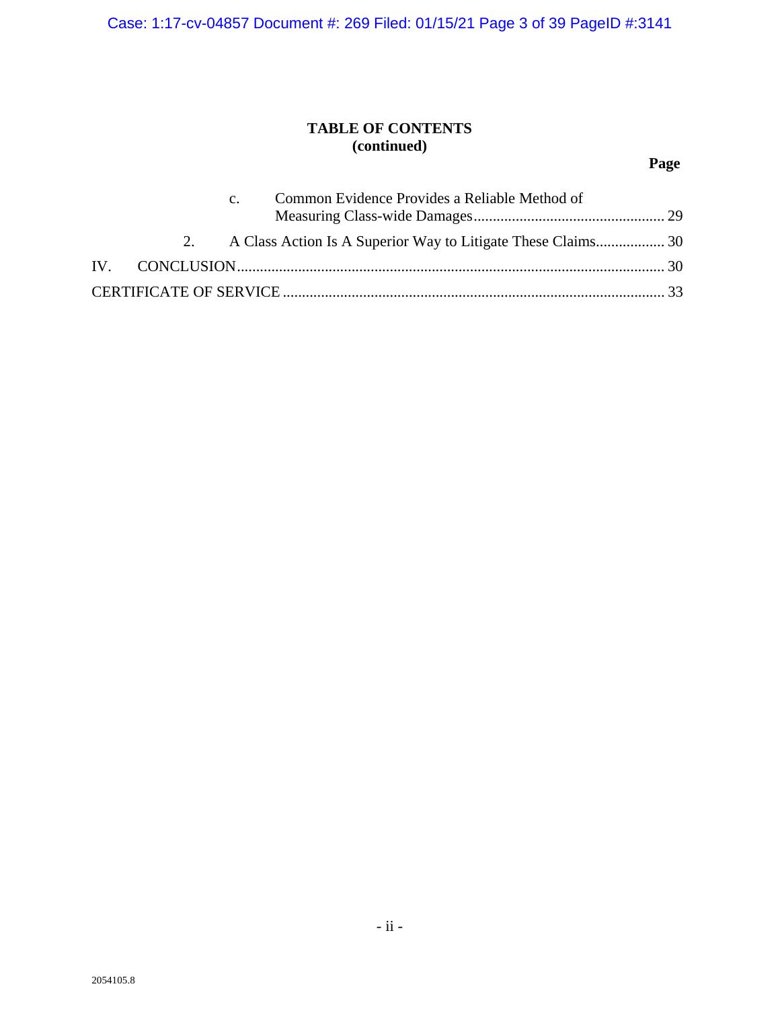Case: 1:17-cv-04857 Document #: 269 Filed: 01/15/21 Page 3 of 39 PageID #:3141

# **TABLE OF CONTENTS (continued)**

# **Page**

|    | C <sub>1</sub> | Common Evidence Provides a Reliable Method of |  |
|----|----------------|-----------------------------------------------|--|
| 2. |                |                                               |  |
|    |                |                                               |  |
|    |                |                                               |  |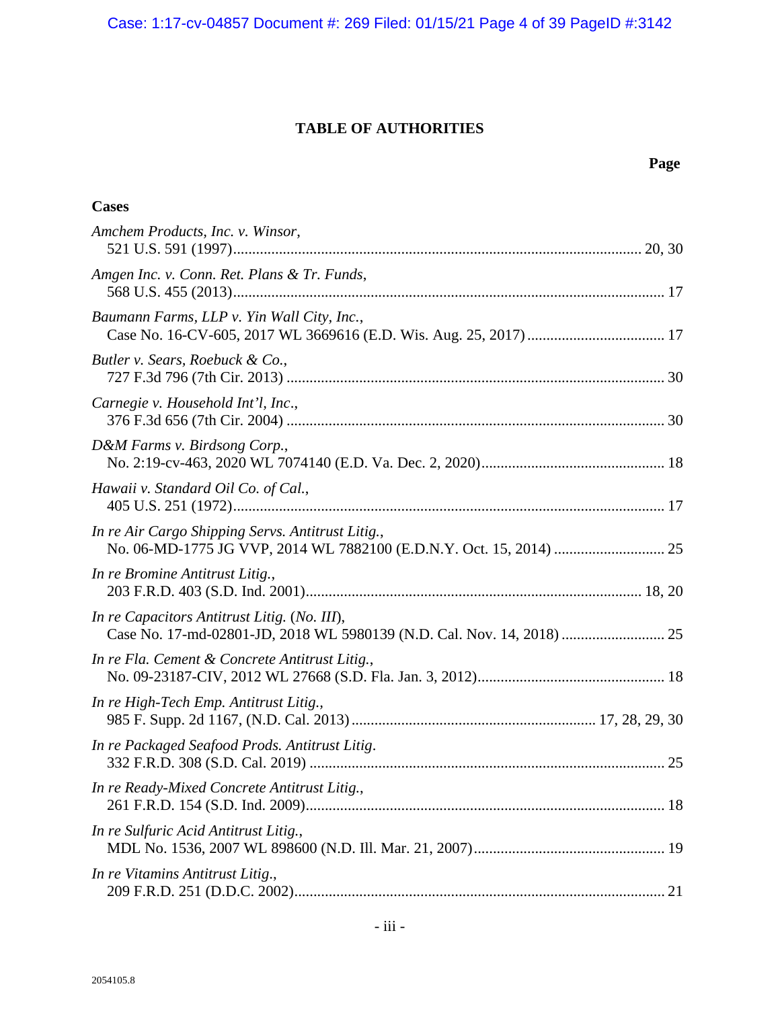Case: 1:17-cv-04857 Document #: 269 Filed: 01/15/21 Page 4 of 39 PageID #:3142

# **TABLE OF AUTHORITIES**

| <b>Cases</b>                                      |  |
|---------------------------------------------------|--|
| Amchem Products, Inc. v. Winsor,                  |  |
| Amgen Inc. v. Conn. Ret. Plans & Tr. Funds,       |  |
| Baumann Farms, LLP v. Yin Wall City, Inc.,        |  |
| Butler v. Sears, Roebuck & Co.,                   |  |
| Carnegie v. Household Int'l, Inc.,                |  |
| D&M Farms v. Birdsong Corp.,                      |  |
| Hawaii v. Standard Oil Co. of Cal.,               |  |
| In re Air Cargo Shipping Servs. Antitrust Litig., |  |
| In re Bromine Antitrust Litig.,                   |  |
| In re Capacitors Antitrust Litig. (No. III),      |  |
| In re Fla. Cement & Concrete Antitrust Litig.,    |  |
| In re High-Tech Emp. Antitrust Litig.,            |  |
| In re Packaged Seafood Prods. Antitrust Litig.    |  |
| In re Ready-Mixed Concrete Antitrust Litig.,      |  |
| In re Sulfuric Acid Antitrust Litig.,             |  |
| In re Vitamins Antitrust Litig.,                  |  |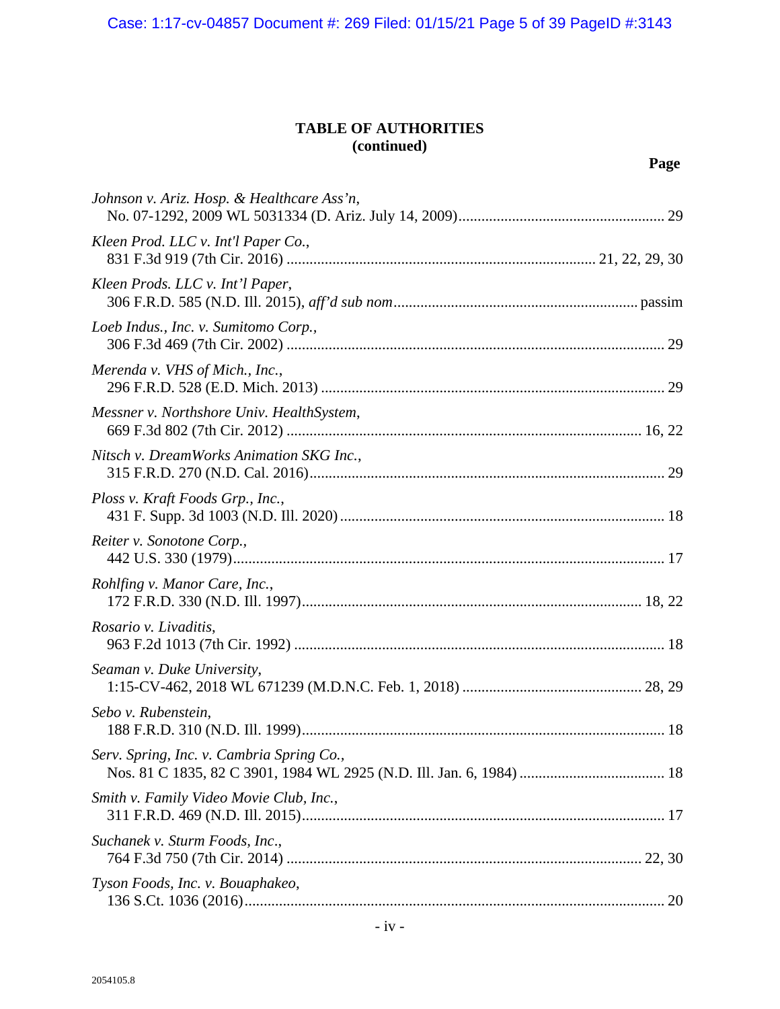Case: 1:17-cv-04857 Document #: 269 Filed: 01/15/21 Page 5 of 39 PageID #:3143

# **TABLE OF AUTHORITIES (continued)**

| Johnson v. Ariz. Hosp. & Healthcare Ass'n, |  |
|--------------------------------------------|--|
| Kleen Prod. LLC v. Int'l Paper Co.,        |  |
| Kleen Prods. LLC v. Int'l Paper,           |  |
| Loeb Indus., Inc. v. Sumitomo Corp.,       |  |
| Merenda v. VHS of Mich., Inc.,             |  |
| Messner v. Northshore Univ. HealthSystem,  |  |
| Nitsch v. DreamWorks Animation SKG Inc.,   |  |
| Ploss v. Kraft Foods Grp., Inc.,           |  |
| Reiter v. Sonotone Corp.,                  |  |
| Rohlfing v. Manor Care, Inc.,              |  |
| Rosario v. Livaditis,                      |  |
| Seaman v. Duke University,                 |  |
| Sebo v. Rubenstein,                        |  |
| Serv. Spring, Inc. v. Cambria Spring Co.,  |  |
| Smith v. Family Video Movie Club, Inc.,    |  |
| Suchanek v. Sturm Foods, Inc.,             |  |
| Tyson Foods, Inc. v. Bouaphakeo,           |  |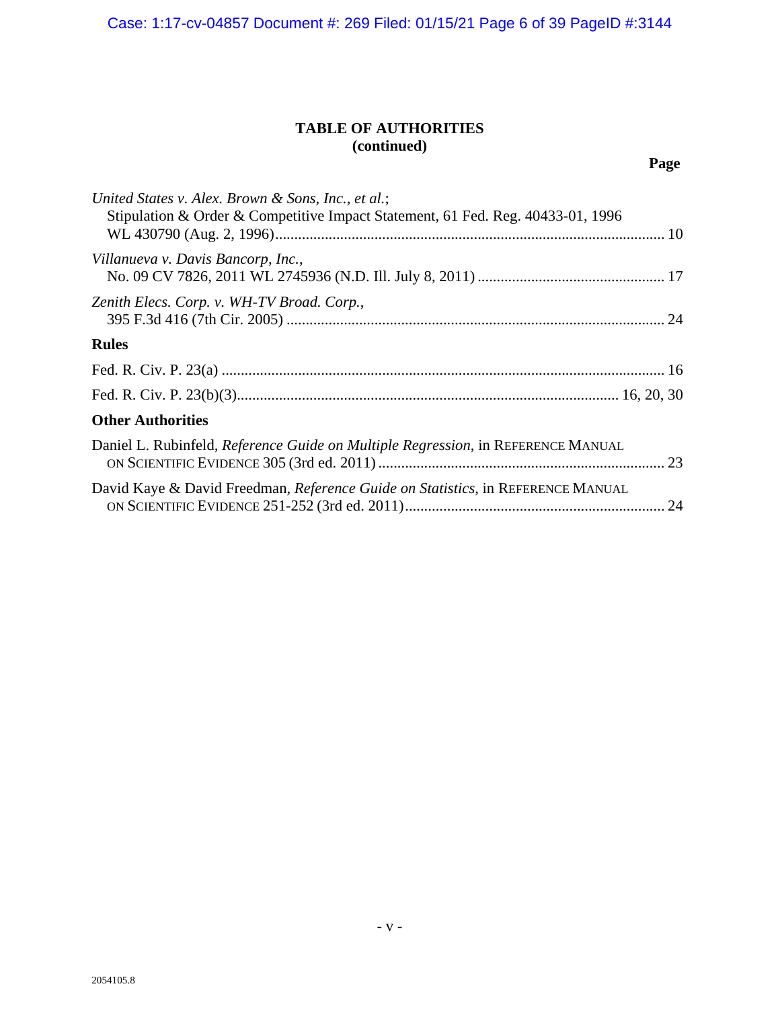Case: 1:17-cv-04857 Document #: 269 Filed: 01/15/21 Page 6 of 39 PageID #:3144

# **TABLE OF AUTHORITIES (continued)**

| United States v. Alex. Brown & Sons, Inc., et al.;<br>Stipulation & Order & Competitive Impact Statement, 61 Fed. Reg. 40433-01, 1996 |  |
|---------------------------------------------------------------------------------------------------------------------------------------|--|
| Villanueva v. Davis Bancorp, Inc.,                                                                                                    |  |
| Zenith Elecs. Corp. v. WH-TV Broad. Corp.,                                                                                            |  |
| <b>Rules</b>                                                                                                                          |  |
|                                                                                                                                       |  |
|                                                                                                                                       |  |
| <b>Other Authorities</b>                                                                                                              |  |
| Daniel L. Rubinfeld, Reference Guide on Multiple Regression, in REFERENCE MANUAL                                                      |  |
| David Kaye & David Freedman, Reference Guide on Statistics, in REFERENCE MANUAL                                                       |  |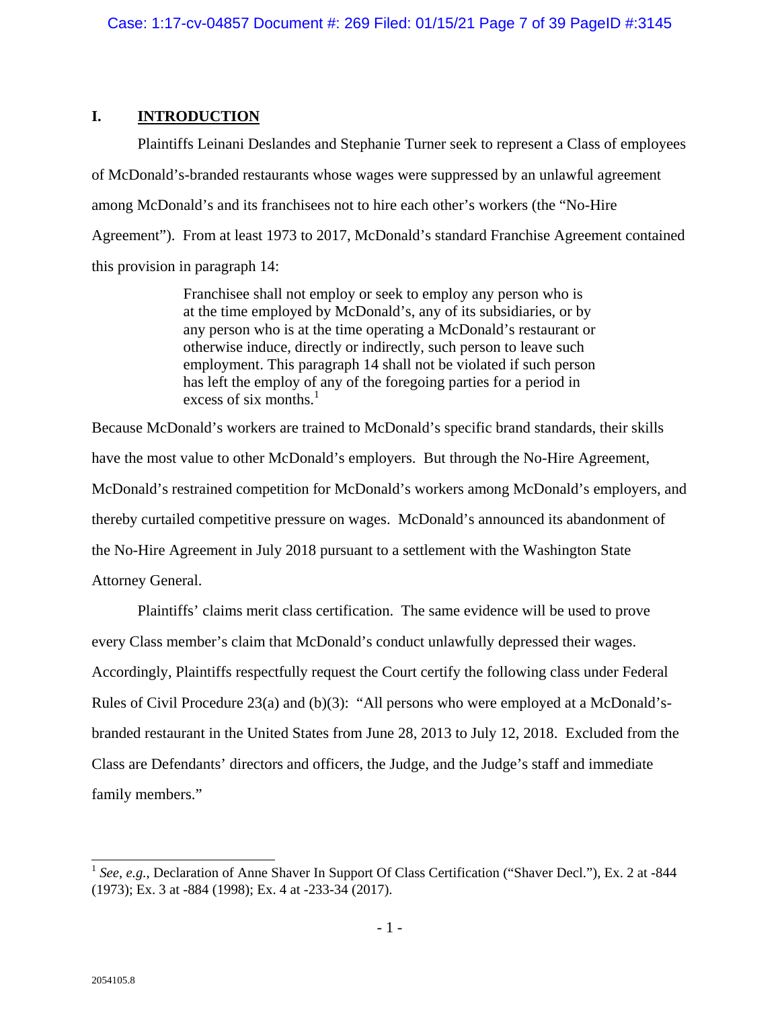## **I. INTRODUCTION**

Plaintiffs Leinani Deslandes and Stephanie Turner seek to represent a Class of employees of McDonald's-branded restaurants whose wages were suppressed by an unlawful agreement among McDonald's and its franchisees not to hire each other's workers (the "No-Hire Agreement"). From at least 1973 to 2017, McDonald's standard Franchise Agreement contained this provision in paragraph 14:

> Franchisee shall not employ or seek to employ any person who is at the time employed by McDonald's, any of its subsidiaries, or by any person who is at the time operating a McDonald's restaurant or otherwise induce, directly or indirectly, such person to leave such employment. This paragraph 14 shall not be violated if such person has left the employ of any of the foregoing parties for a period in excess of six months. $<sup>1</sup>$ </sup>

Because McDonald's workers are trained to McDonald's specific brand standards, their skills have the most value to other McDonald's employers. But through the No-Hire Agreement, McDonald's restrained competition for McDonald's workers among McDonald's employers, and thereby curtailed competitive pressure on wages. McDonald's announced its abandonment of the No-Hire Agreement in July 2018 pursuant to a settlement with the Washington State Attorney General.

Plaintiffs' claims merit class certification. The same evidence will be used to prove every Class member's claim that McDonald's conduct unlawfully depressed their wages. Accordingly, Plaintiffs respectfully request the Court certify the following class under Federal Rules of Civil Procedure 23(a) and (b)(3): "All persons who were employed at a McDonald'sbranded restaurant in the United States from June 28, 2013 to July 12, 2018. Excluded from the Class are Defendants' directors and officers, the Judge, and the Judge's staff and immediate family members."

 $\overline{\phantom{a}}$ <sup>1</sup> *See*, *e.g.*, Declaration of Anne Shaver In Support Of Class Certification ("Shaver Decl."), Ex. 2 at -844 (1973); Ex. 3 at -884 (1998); Ex. 4 at -233-34 (2017).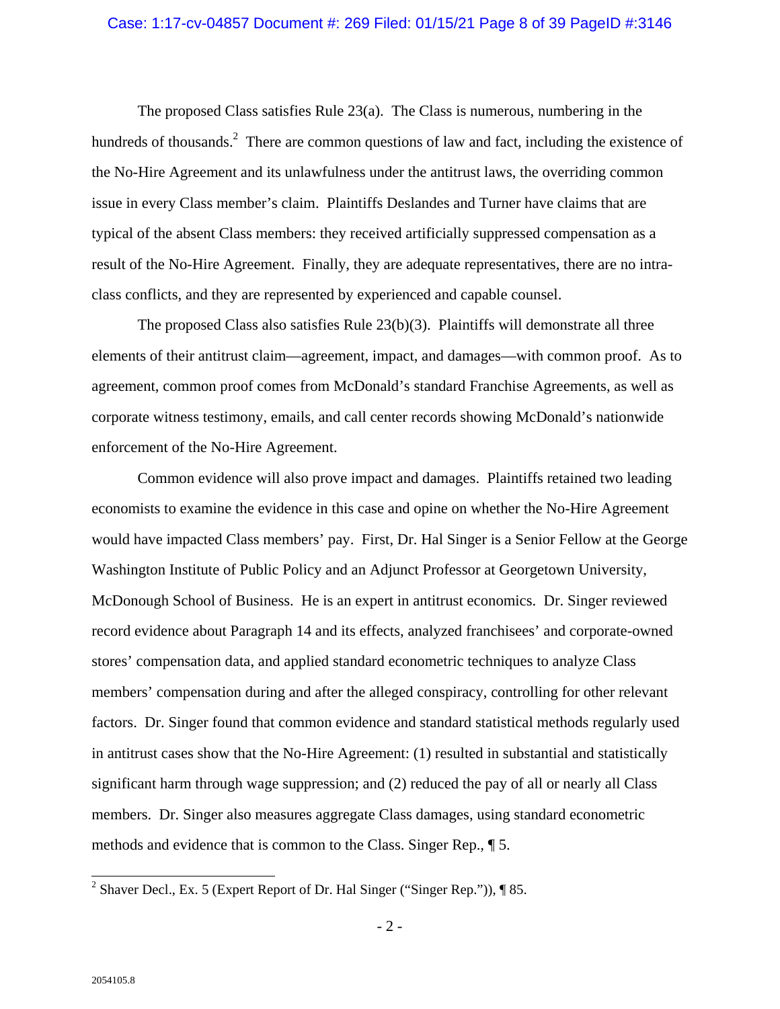#### Case: 1:17-cv-04857 Document #: 269 Filed: 01/15/21 Page 8 of 39 PageID #:3146

The proposed Class satisfies Rule 23(a). The Class is numerous, numbering in the hundreds of thousands.<sup>2</sup> There are common questions of law and fact, including the existence of the No-Hire Agreement and its unlawfulness under the antitrust laws, the overriding common issue in every Class member's claim. Plaintiffs Deslandes and Turner have claims that are typical of the absent Class members: they received artificially suppressed compensation as a result of the No-Hire Agreement. Finally, they are adequate representatives, there are no intraclass conflicts, and they are represented by experienced and capable counsel.

The proposed Class also satisfies Rule 23(b)(3). Plaintiffs will demonstrate all three elements of their antitrust claim—agreement, impact, and damages—with common proof. As to agreement, common proof comes from McDonald's standard Franchise Agreements, as well as corporate witness testimony, emails, and call center records showing McDonald's nationwide enforcement of the No-Hire Agreement.

Common evidence will also prove impact and damages. Plaintiffs retained two leading economists to examine the evidence in this case and opine on whether the No-Hire Agreement would have impacted Class members' pay. First, Dr. Hal Singer is a Senior Fellow at the George Washington Institute of Public Policy and an Adjunct Professor at Georgetown University, McDonough School of Business. He is an expert in antitrust economics. Dr. Singer reviewed record evidence about Paragraph 14 and its effects, analyzed franchisees' and corporate-owned stores' compensation data, and applied standard econometric techniques to analyze Class members' compensation during and after the alleged conspiracy, controlling for other relevant factors. Dr. Singer found that common evidence and standard statistical methods regularly used in antitrust cases show that the No-Hire Agreement: (1) resulted in substantial and statistically significant harm through wage suppression; and (2) reduced the pay of all or nearly all Class members. Dr. Singer also measures aggregate Class damages, using standard econometric methods and evidence that is common to the Class. Singer Rep.*,* ¶ 5.

<sup>&</sup>lt;sup>2</sup> Shaver Decl., Ex. 5 (Expert Report of Dr. Hal Singer ("Singer Rep.")), ¶ 85.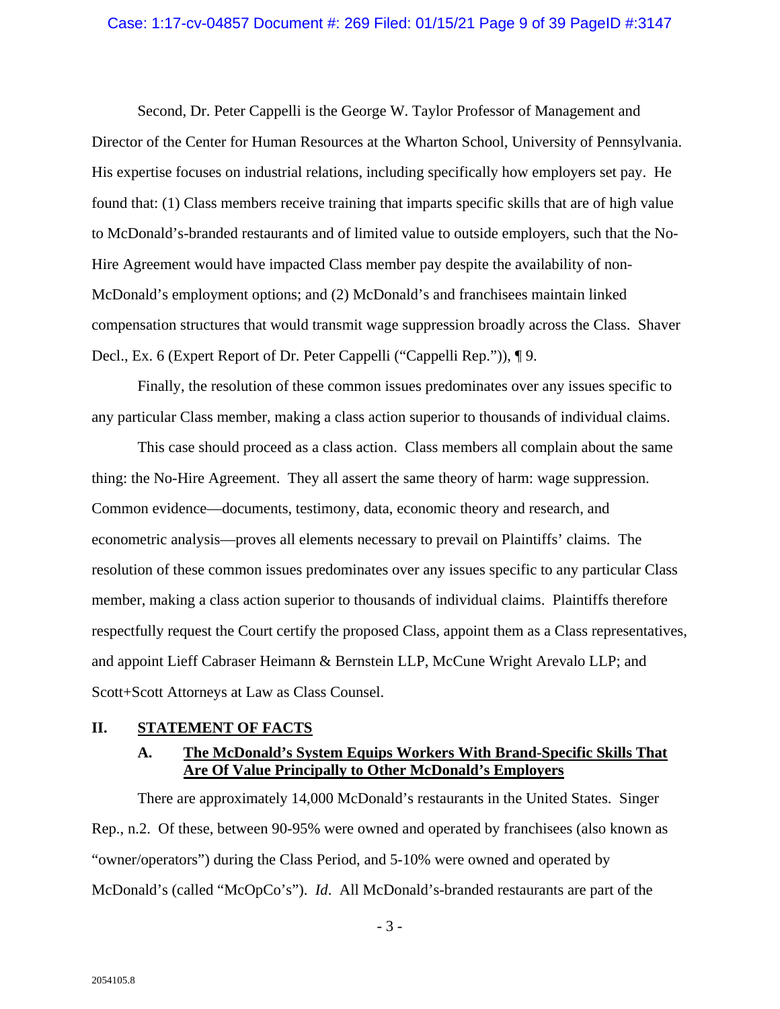#### Case: 1:17-cv-04857 Document #: 269 Filed: 01/15/21 Page 9 of 39 PageID #:3147

Second, Dr. Peter Cappelli is the George W. Taylor Professor of Management and Director of the Center for Human Resources at the Wharton School, University of Pennsylvania. His expertise focuses on industrial relations, including specifically how employers set pay. He found that: (1) Class members receive training that imparts specific skills that are of high value to McDonald's-branded restaurants and of limited value to outside employers, such that the No-Hire Agreement would have impacted Class member pay despite the availability of non-McDonald's employment options; and (2) McDonald's and franchisees maintain linked compensation structures that would transmit wage suppression broadly across the Class. Shaver Decl., Ex. 6 (Expert Report of Dr. Peter Cappelli ("Cappelli Rep.")), ¶ 9.

Finally, the resolution of these common issues predominates over any issues specific to any particular Class member, making a class action superior to thousands of individual claims.

This case should proceed as a class action. Class members all complain about the same thing: the No-Hire Agreement. They all assert the same theory of harm: wage suppression. Common evidence—documents, testimony, data, economic theory and research, and econometric analysis—proves all elements necessary to prevail on Plaintiffs' claims. The resolution of these common issues predominates over any issues specific to any particular Class member, making a class action superior to thousands of individual claims. Plaintiffs therefore respectfully request the Court certify the proposed Class, appoint them as a Class representatives, and appoint Lieff Cabraser Heimann & Bernstein LLP, McCune Wright Arevalo LLP; and Scott+Scott Attorneys at Law as Class Counsel.

#### **II. STATEMENT OF FACTS**

## **A. The McDonald's System Equips Workers With Brand-Specific Skills That Are Of Value Principally to Other McDonald's Employers**

There are approximately 14,000 McDonald's restaurants in the United States. Singer Rep., n.2. Of these, between 90-95% were owned and operated by franchisees (also known as "owner/operators") during the Class Period, and 5-10% were owned and operated by McDonald's (called "McOpCo's"). *Id*. All McDonald's-branded restaurants are part of the

- 3 -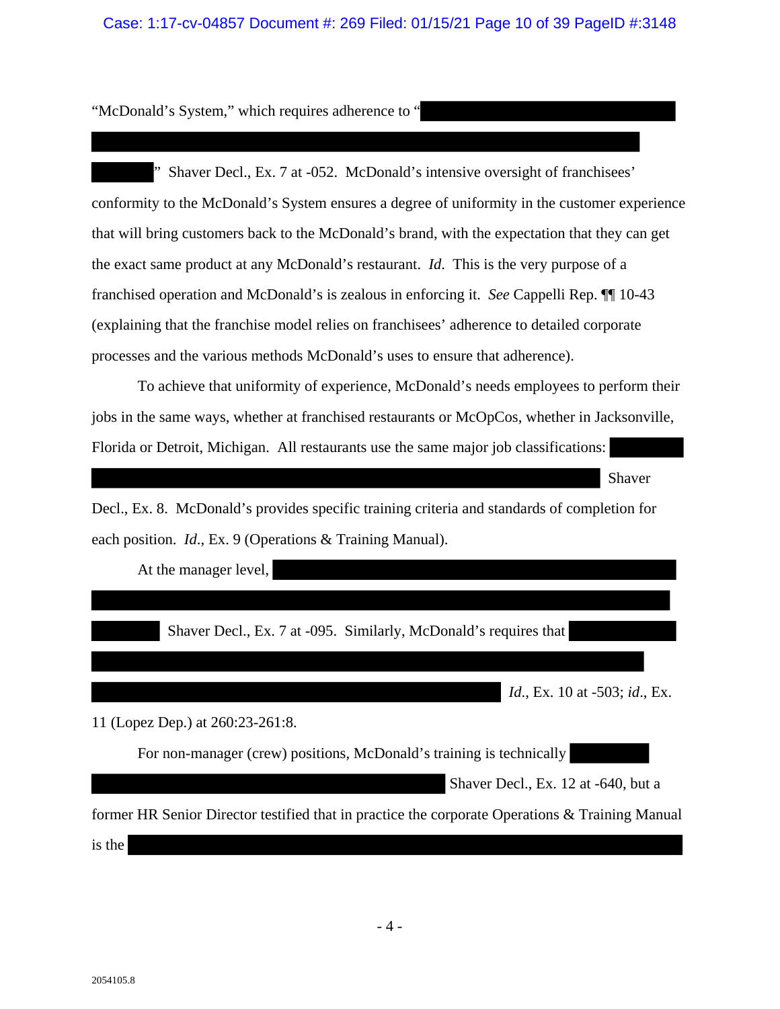## Case: 1:17-cv-04857 Document #: 269 Filed: 01/15/21 Page 10 of 39 PageID #:3148

"McDonald's System," which requires adherence to "

" Shaver Decl., Ex. 7 at -052. McDonald's intensive oversight of franchisees' conformity to the McDonald's System ensures a degree of uniformity in the customer experience that will bring customers back to the McDonald's brand, with the expectation that they can get the exact same product at any McDonald's restaurant. *Id*. This is the very purpose of a franchised operation and McDonald's is zealous in enforcing it. *See* Cappelli Rep. ¶¶ 10-43 (explaining that the franchise model relies on franchisees' adherence to detailed corporate processes and the various methods McDonald's uses to ensure that adherence).

To achieve that uniformity of experience, McDonald's needs employees to perform their jobs in the same ways, whether at franchised restaurants or McOpCos, whether in Jacksonville, Florida or Detroit, Michigan. All restaurants use the same major job classifications:

Shaver

Decl., Ex. 8. McDonald's provides specific training criteria and standards of completion for each position. *Id*., Ex. 9 (Operations & Training Manual).

At the manager level,

Shaver Decl., Ex. 7 at -095. Similarly, McDonald's requires that

*Id*., Ex. 10 at -503; *id*., Ex.

11 (Lopez Dep.) at 260:23-261:8.

For non-manager (crew) positions, McDonald's training is technically

Shaver Decl., Ex. 12 at -640, but a

former HR Senior Director testified that in practice the corporate Operations & Training Manual is the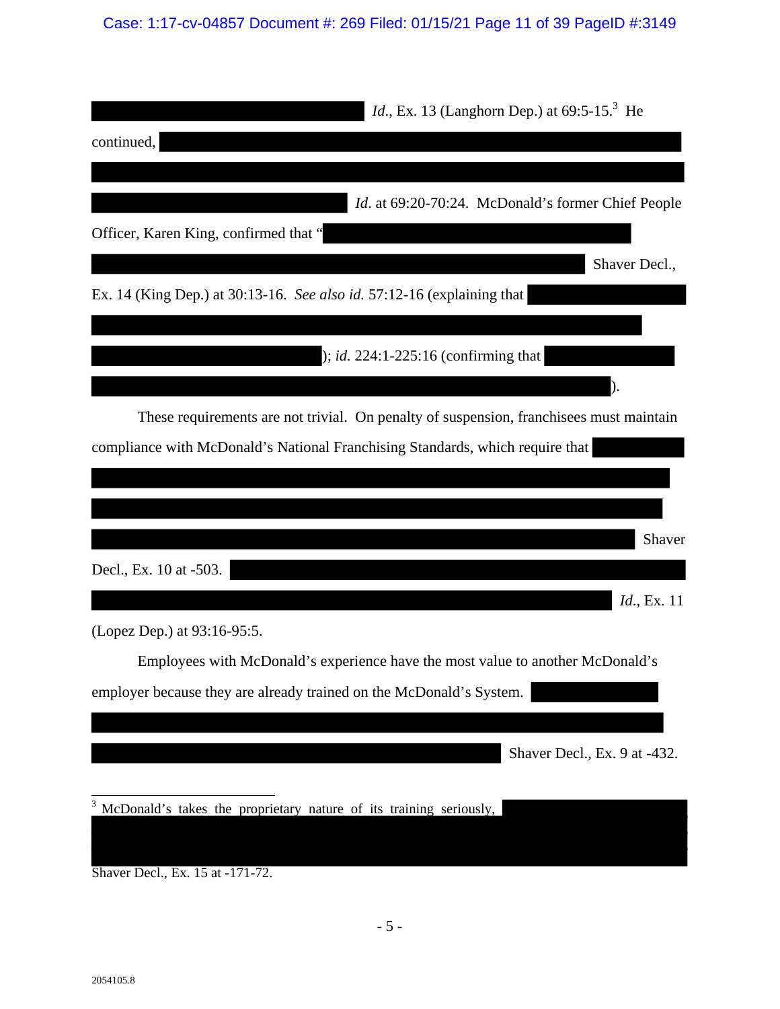# Case: 1:17-cv-04857 Document #: 269 Filed: 01/15/21 Page 11 of 39 PageID #:3149

| <i>Id.</i> , Ex. 13 (Langhorn Dep.) at $69:5-15^3$ He                                   |               |
|-----------------------------------------------------------------------------------------|---------------|
| continued,                                                                              |               |
|                                                                                         |               |
| <i>Id.</i> at 69:20-70:24. McDonald's former Chief People                               |               |
| Officer, Karen King, confirmed that "                                                   |               |
|                                                                                         | Shaver Decl., |
| Ex. 14 (King Dep.) at 30:13-16. See also id. 57:12-16 (explaining that                  |               |
|                                                                                         |               |
| ); <i>id.</i> $224:1 - 225:16$ (confirming that                                         |               |
|                                                                                         |               |
| These requirements are not trivial. On penalty of suspension, franchisees must maintain |               |
| compliance with McDonald's National Franchising Standards, which require that           |               |
|                                                                                         |               |
|                                                                                         |               |
|                                                                                         | Shaver        |
| Decl., Ex. 10 at -503.                                                                  |               |
|                                                                                         | Id., Ex. 11   |
| (Lopez Dep.) at 93:16-95:5.                                                             |               |
| Employees with McDonald's experience have the most value to another McDonald's          |               |
| employer because they are already trained on the McDonald's System.                     |               |
|                                                                                         |               |
| Shaver Decl., Ex. 9 at -432.                                                            |               |
| McDonald's takes the proprietary nature of its training seriously,                      |               |
|                                                                                         |               |
| Shaver Decl., Ex. 15 at -171-72.                                                        |               |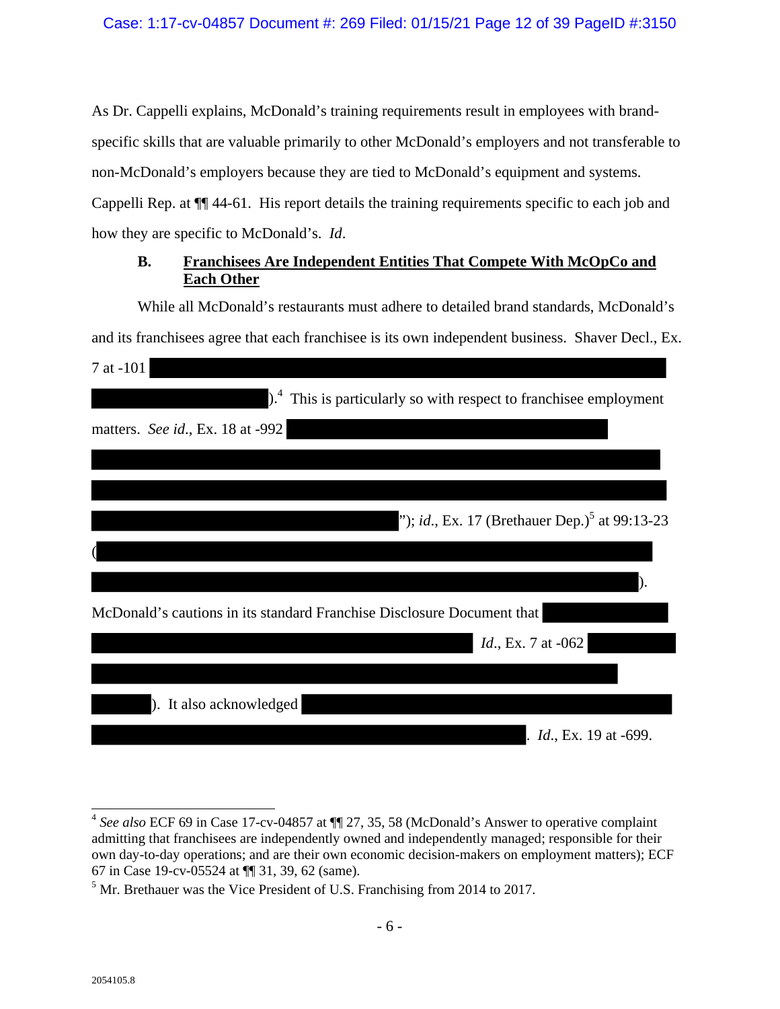As Dr. Cappelli explains, McDonald's training requirements result in employees with brandspecific skills that are valuable primarily to other McDonald's employers and not transferable to non-McDonald's employers because they are tied to McDonald's equipment and systems. Cappelli Rep. at ¶¶ 44-61. His report details the training requirements specific to each job and how they are specific to McDonald's. *Id*.

# **B. Franchisees Are Independent Entities That Compete With McOpCo and Each Other**

While all McDonald's restaurants must adhere to detailed brand standards, McDonald's and its franchisees agree that each franchisee is its own independent business. Shaver Decl., Ex. 7 at -101

| $\vert$ . <sup>4</sup> This is particularly so with respect to franchise employment |
|-------------------------------------------------------------------------------------|
| matters. See id., Ex. 18 at -992                                                    |
|                                                                                     |
|                                                                                     |
| "); id., Ex. 17 (Brethauer Dep.) <sup>5</sup> at 99:13-23                           |
|                                                                                     |
|                                                                                     |
| McDonald's cautions in its standard Franchise Disclosure Document that              |
| <i>Id.</i> , Ex. 7 at -062                                                          |
|                                                                                     |
| ). It also acknowledged                                                             |
| <i>Id.</i> , Ex. 19 at -699.                                                        |

 $\overline{1}$ <sup>4</sup> *See also* ECF 69 in Case 17-cv-04857 at ¶¶ 27, 35, 58 (McDonald's Answer to operative complaint admitting that franchisees are independently owned and independently managed; responsible for their own day-to-day operations; and are their own economic decision-makers on employment matters); ECF 67 in Case 19-cv-05524 at ¶¶ 31, 39, 62 (same).

 $<sup>5</sup>$  Mr. Brethauer was the Vice President of U.S. Franchising from 2014 to 2017.</sup>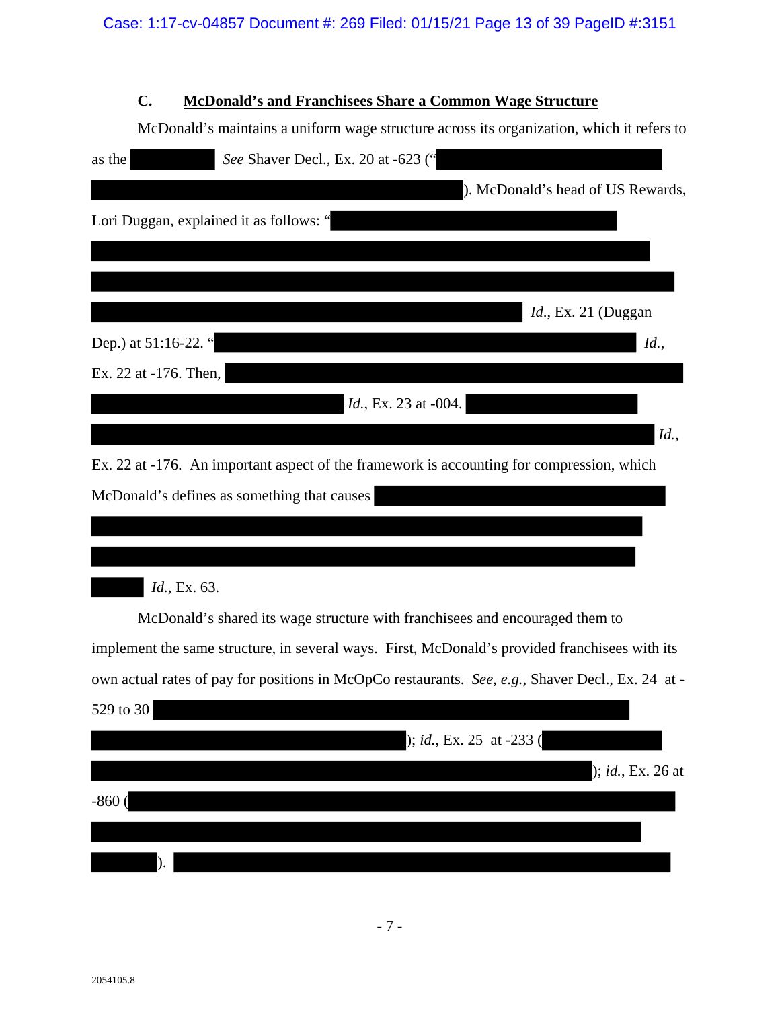# **C. McDonald's and Franchisees Share a Common Wage Structure**

McDonald's maintains a uniform wage structure across its organization, which it refers to

| See Shaver Decl., Ex. 20 at -623 ("<br>as the                                                     |
|---------------------------------------------------------------------------------------------------|
| ). McDonald's head of US Rewards,                                                                 |
| Lori Duggan, explained it as follows: "                                                           |
|                                                                                                   |
|                                                                                                   |
| <i>Id.</i> , Ex. 21 (Duggan                                                                       |
| Dep.) at 51:16-22. "<br>Id.,                                                                      |
| Ex. 22 at -176. Then,                                                                             |
| <i>Id.</i> , Ex. 23 at -004.                                                                      |
| Id.,                                                                                              |
| Ex. 22 at -176. An important aspect of the framework is accounting for compression, which         |
| McDonald's defines as something that causes                                                       |
|                                                                                                   |
|                                                                                                   |
| Id., Ex. 63.                                                                                      |
| McDonald's shared its wage structure with franchisees and encouraged them to                      |
| implement the same structure, in several ways. First, McDonald's provided franchisees with its    |
| own actual rates of pay for positions in McOpCo restaurants. See, e.g., Shaver Decl., Ex. 24 at - |
| 529 to 30                                                                                         |
| ); id., Ex. 25 at -233 (                                                                          |
| ); id., Ex. 26 at                                                                                 |
| $-860$                                                                                            |
|                                                                                                   |
|                                                                                                   |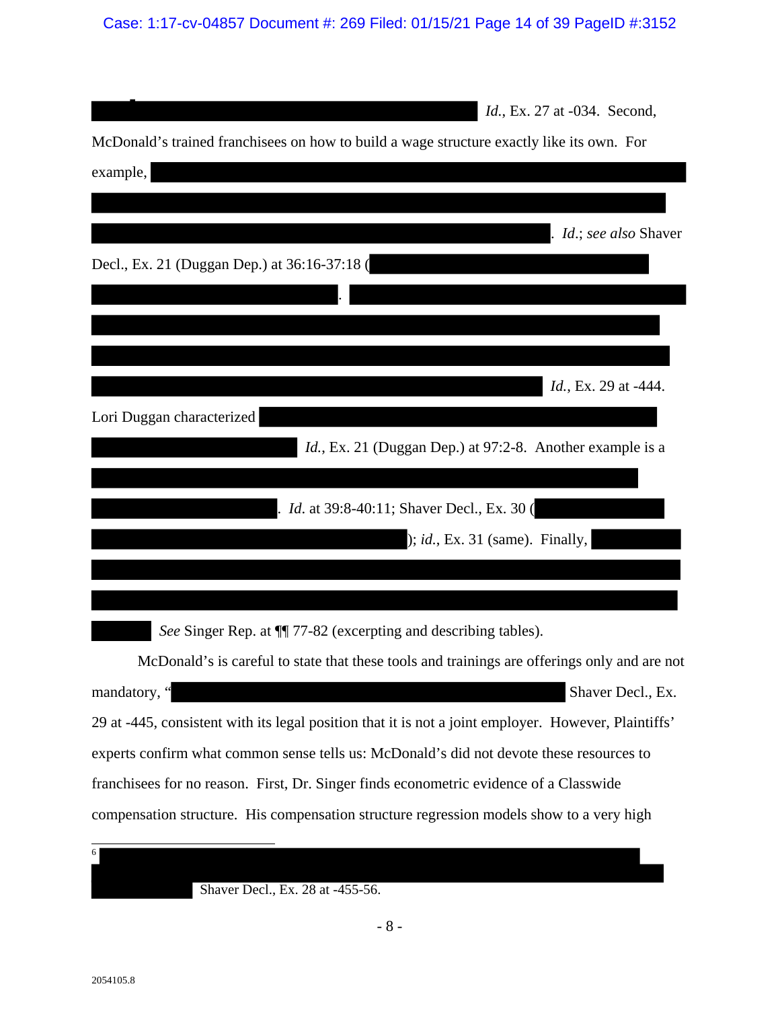Case: 1:17-cv-04857 Document #: 269 Filed: 01/15/21 Page 14 of 39 PageID #:3152

| <i>Id.</i> , Ex. 27 at -034. Second,                                                                 |
|------------------------------------------------------------------------------------------------------|
| McDonald's trained franchisees on how to build a wage structure exactly like its own. For            |
| example,                                                                                             |
|                                                                                                      |
| <i>Id.</i> ; see also Shaver                                                                         |
| Decl., Ex. 21 (Duggan Dep.) at 36:16-37:18 (                                                         |
|                                                                                                      |
|                                                                                                      |
|                                                                                                      |
| <i>Id.</i> , Ex. 29 at -444.                                                                         |
| Lori Duggan characterized                                                                            |
| <i>Id.</i> , Ex. 21 (Duggan Dep.) at 97:2-8. Another example is a                                    |
|                                                                                                      |
| Id. at 39:8-40:11; Shaver Decl., Ex. 30 (                                                            |
| $\chi$ ; <i>id.</i> , Ex. 31 (same). Finally,                                                        |
|                                                                                                      |
|                                                                                                      |
| See Singer Rep. at $\P$ 77-82 (excerpting and describing tables).                                    |
| McDonald's is careful to state that these tools and trainings are offerings only and are not         |
| mandatory, "<br>Shaver Decl., Ex.                                                                    |
| 29 at -445, consistent with its legal position that it is not a joint employer. However, Plaintiffs' |
| experts confirm what common sense tells us: McDonald's did not devote these resources to             |
| franchisees for no reason. First, Dr. Singer finds econometric evidence of a Classwide               |
| compensation structure. His compensation structure regression models show to a very high             |
| $\overline{6}$                                                                                       |
| Shaver Decl., Ex. 28 at -455-56.                                                                     |
|                                                                                                      |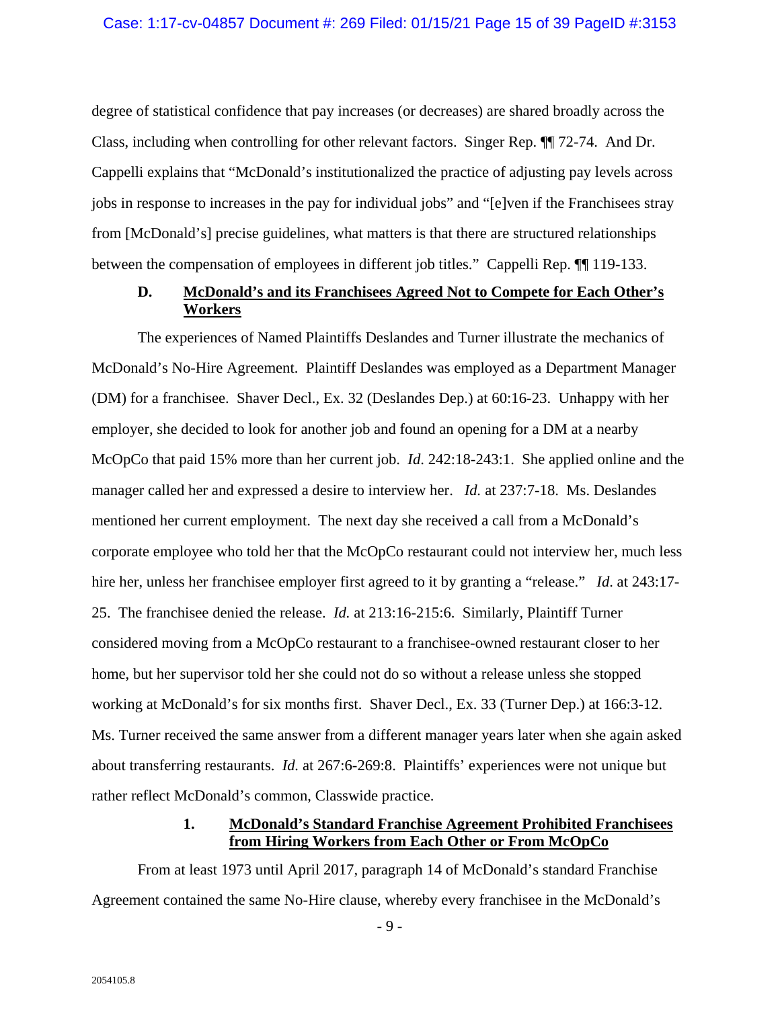degree of statistical confidence that pay increases (or decreases) are shared broadly across the Class, including when controlling for other relevant factors. Singer Rep. ¶¶ 72-74. And Dr. Cappelli explains that "McDonald's institutionalized the practice of adjusting pay levels across jobs in response to increases in the pay for individual jobs" and "[e]ven if the Franchisees stray from [McDonald's] precise guidelines, what matters is that there are structured relationships between the compensation of employees in different job titles." Cappelli Rep. ¶¶ 119-133.

## **D. McDonald's and its Franchisees Agreed Not to Compete for Each Other's Workers**

The experiences of Named Plaintiffs Deslandes and Turner illustrate the mechanics of McDonald's No-Hire Agreement. Plaintiff Deslandes was employed as a Department Manager (DM) for a franchisee. Shaver Decl., Ex. 32 (Deslandes Dep.) at 60:16-23. Unhappy with her employer, she decided to look for another job and found an opening for a DM at a nearby McOpCo that paid 15% more than her current job. *Id*. 242:18-243:1. She applied online and the manager called her and expressed a desire to interview her. *Id.* at 237:7-18. Ms. Deslandes mentioned her current employment. The next day she received a call from a McDonald's corporate employee who told her that the McOpCo restaurant could not interview her, much less hire her, unless her franchisee employer first agreed to it by granting a "release." *Id*. at 243:17- 25. The franchisee denied the release. *Id.* at 213:16-215:6. Similarly, Plaintiff Turner considered moving from a McOpCo restaurant to a franchisee-owned restaurant closer to her home, but her supervisor told her she could not do so without a release unless she stopped working at McDonald's for six months first. Shaver Decl., Ex. 33 (Turner Dep.) at 166:3-12. Ms. Turner received the same answer from a different manager years later when she again asked about transferring restaurants. *Id.* at 267:6-269:8. Plaintiffs' experiences were not unique but rather reflect McDonald's common, Classwide practice.

## **1. McDonald's Standard Franchise Agreement Prohibited Franchisees from Hiring Workers from Each Other or From McOpCo**

From at least 1973 until April 2017, paragraph 14 of McDonald's standard Franchise Agreement contained the same No-Hire clause, whereby every franchisee in the McDonald's

 $-9-$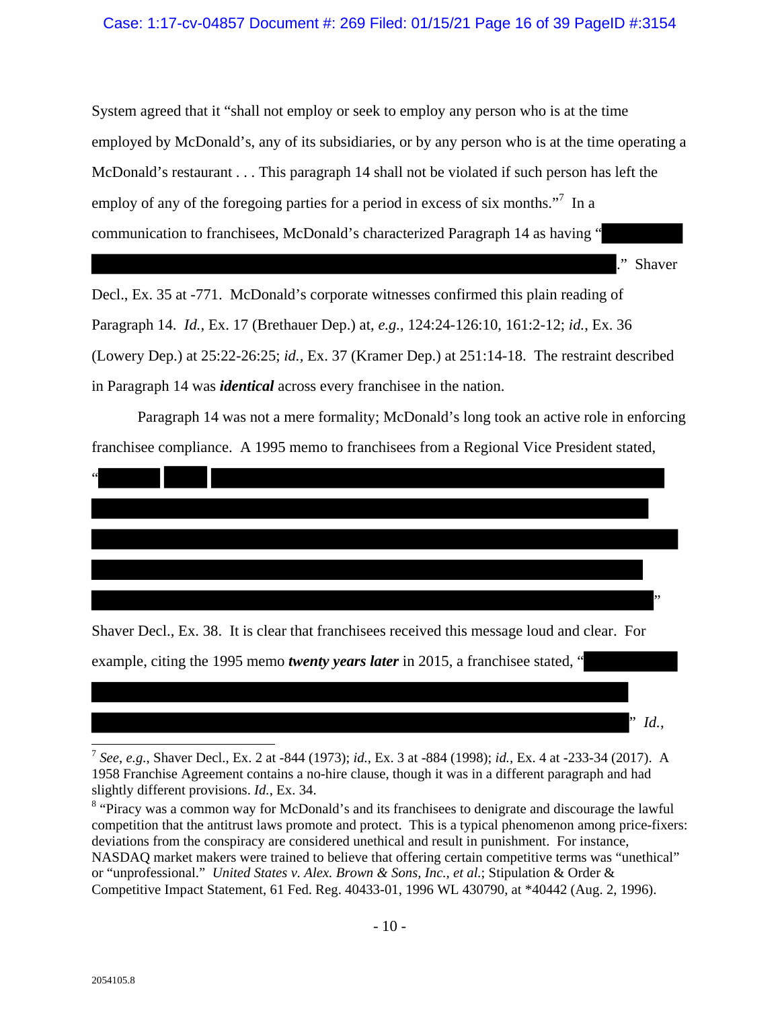#### Case: 1:17-cv-04857 Document #: 269 Filed: 01/15/21 Page 16 of 39 PageID #:3154

System agreed that it "shall not employ or seek to employ any person who is at the time employed by McDonald's, any of its subsidiaries, or by any person who is at the time operating a McDonald's restaurant . . . This paragraph 14 shall not be violated if such person has left the employ of any of the foregoing parties for a period in excess of six months. $"$ <sup>7</sup> In a communication to franchisees, McDonald's characterized Paragraph 14 as having "

." Shaver

" *Id.*,

Decl., Ex. 35 at -771. McDonald's corporate witnesses confirmed this plain reading of Paragraph 14. *Id.*, Ex. 17 (Brethauer Dep.) at, *e.g.*, 124:24-126:10, 161:2-12; *id.*, Ex. 36 (Lowery Dep.) at 25:22-26:25; *id.,* Ex. 37 (Kramer Dep.) at 251:14-18. The restraint described in Paragraph 14 was *identical* across every franchisee in the nation.

Paragraph 14 was not a mere formality; McDonald's long took an active role in enforcing franchisee compliance. A 1995 memo to franchisees from a Regional Vice President stated,



example, citing the 1995 memo *twenty years later* in 2015, a franchisee stated, "

<sup>7</sup> *See*, *e.g.*, Shaver Decl., Ex. 2 at -844 (1973); *id.*, Ex. 3 at -884 (1998); *id.,* Ex. 4 at -233-34 (2017). A 1958 Franchise Agreement contains a no-hire clause, though it was in a different paragraph and had slightly different provisions. *Id.*, Ex. 34.

<sup>&</sup>lt;sup>8</sup> "Piracy was a common way for McDonald's and its franchisees to denigrate and discourage the lawful competition that the antitrust laws promote and protect. This is a typical phenomenon among price-fixers: deviations from the conspiracy are considered unethical and result in punishment. For instance, NASDAQ market makers were trained to believe that offering certain competitive terms was "unethical" or "unprofessional." *United States v. Alex. Brown & Sons, Inc., et al.*; Stipulation & Order & Competitive Impact Statement, 61 Fed. Reg. 40433-01, 1996 WL 430790, at \*40442 (Aug. 2, 1996).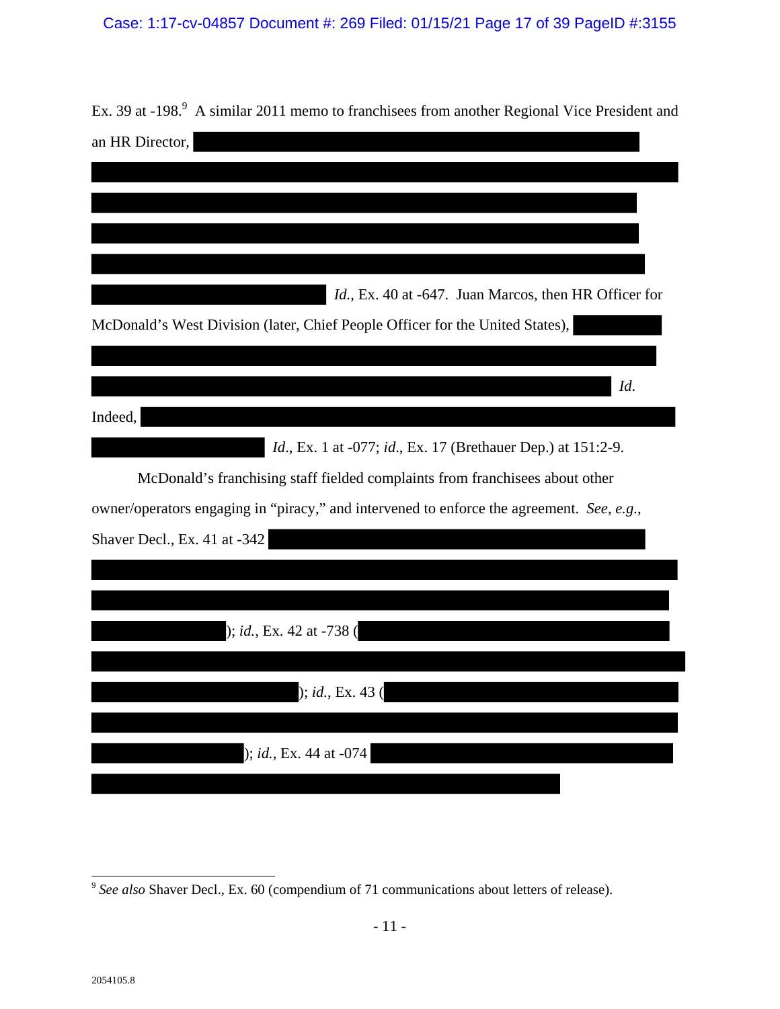# Case: 1:17-cv-04857 Document #: 269 Filed: 01/15/21 Page 17 of 39 PageID #:3155

| Ex. 39 at -198. <sup>9</sup> A similar 2011 memo to franchisees from another Regional Vice President and |
|----------------------------------------------------------------------------------------------------------|
| an HR Director,                                                                                          |
|                                                                                                          |
|                                                                                                          |
|                                                                                                          |
|                                                                                                          |
| <i>Id.</i> , Ex. 40 at -647. Juan Marcos, then HR Officer for                                            |
| McDonald's West Division (later, Chief People Officer for the United States),                            |
|                                                                                                          |
| Id.                                                                                                      |
| Indeed,                                                                                                  |
| <i>Id.</i> , Ex. 1 at -077; <i>id.</i> , Ex. 17 (Brethauer Dep.) at 151:2-9.                             |
| McDonald's franchising staff fielded complaints from franchisees about other                             |
| owner/operators engaging in "piracy," and intervened to enforce the agreement. See, e.g.,                |
| Shaver Decl., Ex. 41 at -342                                                                             |
|                                                                                                          |
|                                                                                                          |
| $\left  \right $ ; <i>id.</i> , Ex. 42 at -738 (                                                         |
|                                                                                                          |
| ); id., Ex. 43                                                                                           |
|                                                                                                          |
| ); id., Ex. 44 at -074                                                                                   |
|                                                                                                          |

<sup>&</sup>lt;u>.</u> <sup>9</sup> *See also* Shaver Decl., Ex. 60 (compendium of 71 communications about letters of release).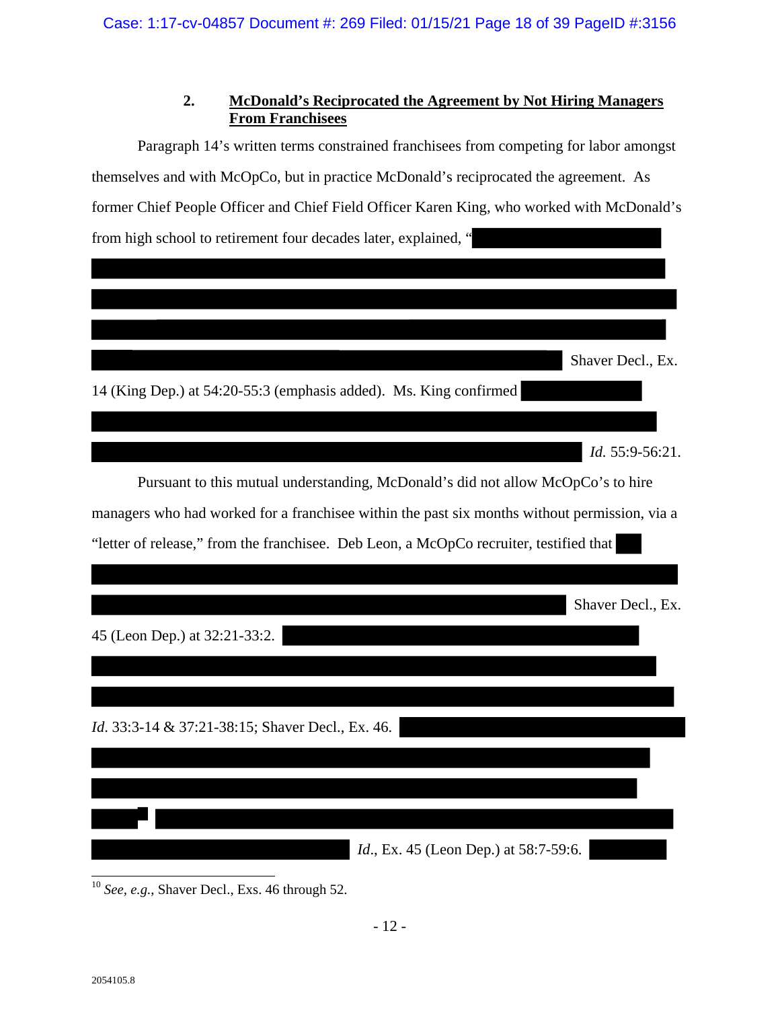## **2. McDonald's Reciprocated the Agreement by Not Hiring Managers From Franchisees**

Paragraph 14's written terms constrained franchisees from competing for labor amongst themselves and with McOpCo, but in practice McDonald's reciprocated the agreement. As former Chief People Officer and Chief Field Officer Karen King, who worked with McDonald's from high school to retirement four decades later, explained, "



<sup>10</sup> *See, e.g.*, Shaver Decl., Exs. 46 through 52.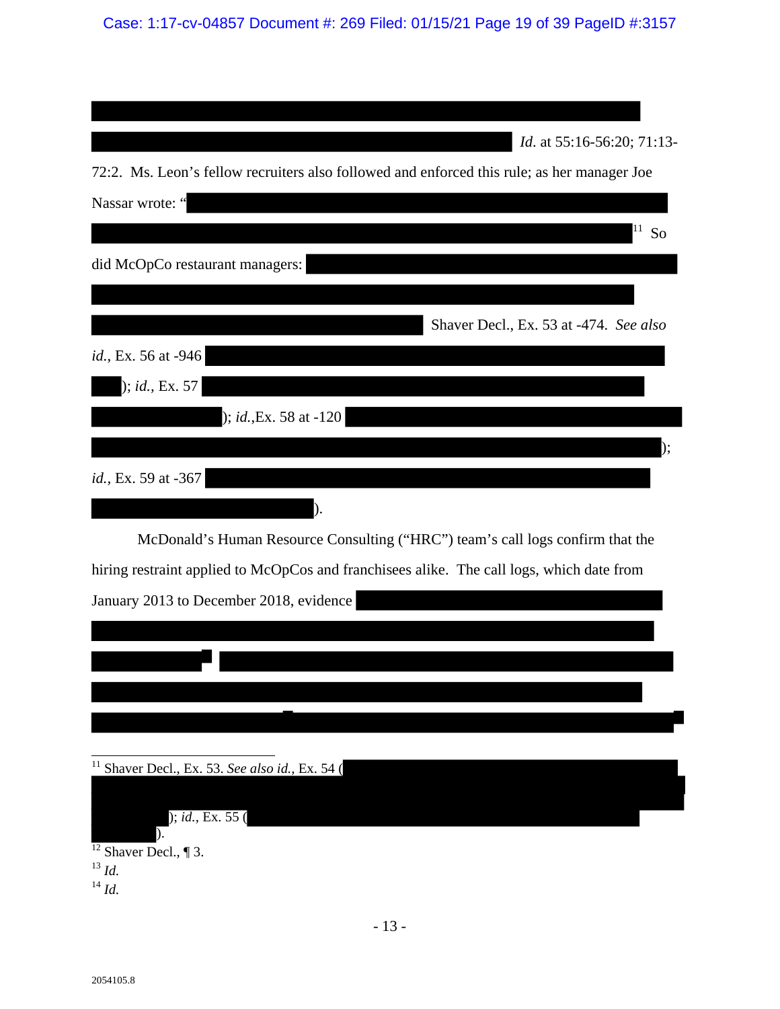Case: 1:17-cv-04857 Document #: 269 Filed: 01/15/21 Page 19 of 39 PageID #:3157

|                                                            | <i>Id.</i> at 55:16-56:20; 71:13-                                                           |
|------------------------------------------------------------|---------------------------------------------------------------------------------------------|
|                                                            | 72:2. Ms. Leon's fellow recruiters also followed and enforced this rule; as her manager Joe |
| Nassar wrote: "                                            |                                                                                             |
|                                                            |                                                                                             |
|                                                            | So                                                                                          |
| did McOpCo restaurant managers:                            |                                                                                             |
|                                                            |                                                                                             |
|                                                            | Shaver Decl., Ex. 53 at -474. See also                                                      |
| id., Ex. 56 at -946                                        |                                                                                             |
|                                                            |                                                                                             |
| ); id., Ex. 57                                             |                                                                                             |
| $); id., Ex. 58 at -120$                                   |                                                                                             |
|                                                            |                                                                                             |
|                                                            |                                                                                             |
| id., Ex. 59 at -367                                        |                                                                                             |
| ).                                                         |                                                                                             |
|                                                            | McDonald's Human Resource Consulting ("HRC") team's call logs confirm that the              |
|                                                            | hiring restraint applied to McOpCos and franchisees alike. The call logs, which date from   |
|                                                            |                                                                                             |
| January 2013 to December 2018, evidence                    |                                                                                             |
|                                                            |                                                                                             |
|                                                            |                                                                                             |
|                                                            |                                                                                             |
|                                                            |                                                                                             |
|                                                            |                                                                                             |
| <sup>11</sup> Shaver Decl., Ex. 53. See also id., Ex. 54 ( |                                                                                             |
|                                                            |                                                                                             |
|                                                            |                                                                                             |
| ); id., Ex. 55()<br>).                                     |                                                                                             |
| $\frac{12}{12}$ Shaver Decl., ¶ 3.                         |                                                                                             |
| $^{13}$ Id.                                                |                                                                                             |
| $^{14}$ Id.                                                |                                                                                             |
|                                                            |                                                                                             |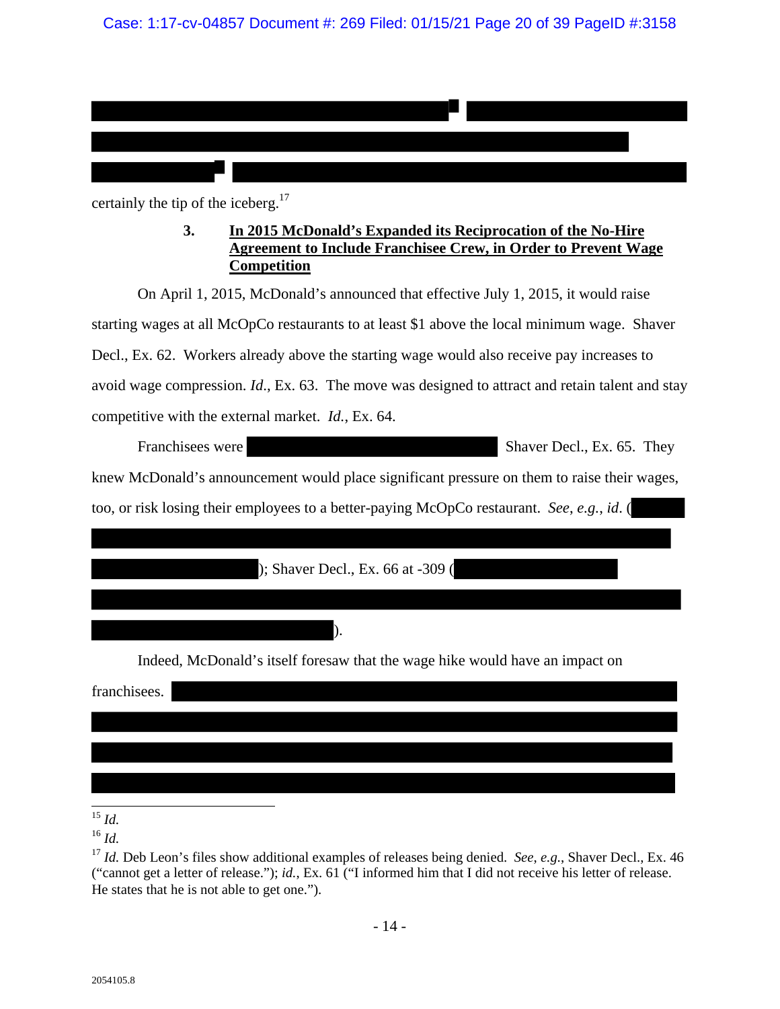| certainly the tip of the iceberg. <sup>17</sup>                                                                                                                   |
|-------------------------------------------------------------------------------------------------------------------------------------------------------------------|
| 3.<br>In 2015 McDonald's Expanded its Reciprocation of the No-Hire<br><b>Agreement to Include Franchisee Crew, in Order to Prevent Wage</b><br><b>Competition</b> |
| On April 1, 2015, McDonald's announced that effective July 1, 2015, it would raise                                                                                |
| starting wages at all McOpCo restaurants to at least \$1 above the local minimum wage. Shaver                                                                     |
| Decl., Ex. 62. Workers already above the starting wage would also receive pay increases to                                                                        |
| avoid wage compression. <i>Id.</i> , Ex. 63. The move was designed to attract and retain talent and stay                                                          |
| competitive with the external market. <i>Id.</i> , Ex. 64.                                                                                                        |
| Franchisees were<br>Shaver Decl., Ex. 65. They                                                                                                                    |
| knew McDonald's announcement would place significant pressure on them to raise their wages,                                                                       |
| too, or risk losing their employees to a better-paying McOpCo restaurant. See, e.g., id. (                                                                        |
|                                                                                                                                                                   |
| ); Shaver Decl., Ex. 66 at -309 (                                                                                                                                 |
|                                                                                                                                                                   |
|                                                                                                                                                                   |
| Indeed, McDonald's itself foresaw that the wage hike would have an impact on                                                                                      |
| franchisees.                                                                                                                                                      |
|                                                                                                                                                                   |
|                                                                                                                                                                   |
|                                                                                                                                                                   |
| 15                                                                                                                                                                |

<sup>15</sup> *Id.*

<sup>16</sup> *Id.*

<sup>&</sup>lt;sup>17</sup> *Id.* Deb Leon's files show additional examples of releases being denied. *See*, *e.g.*, Shaver Decl., Ex. 46 ("cannot get a letter of release."); *id.*, Ex. 61 ("I informed him that I did not receive his letter of release. He states that he is not able to get one.").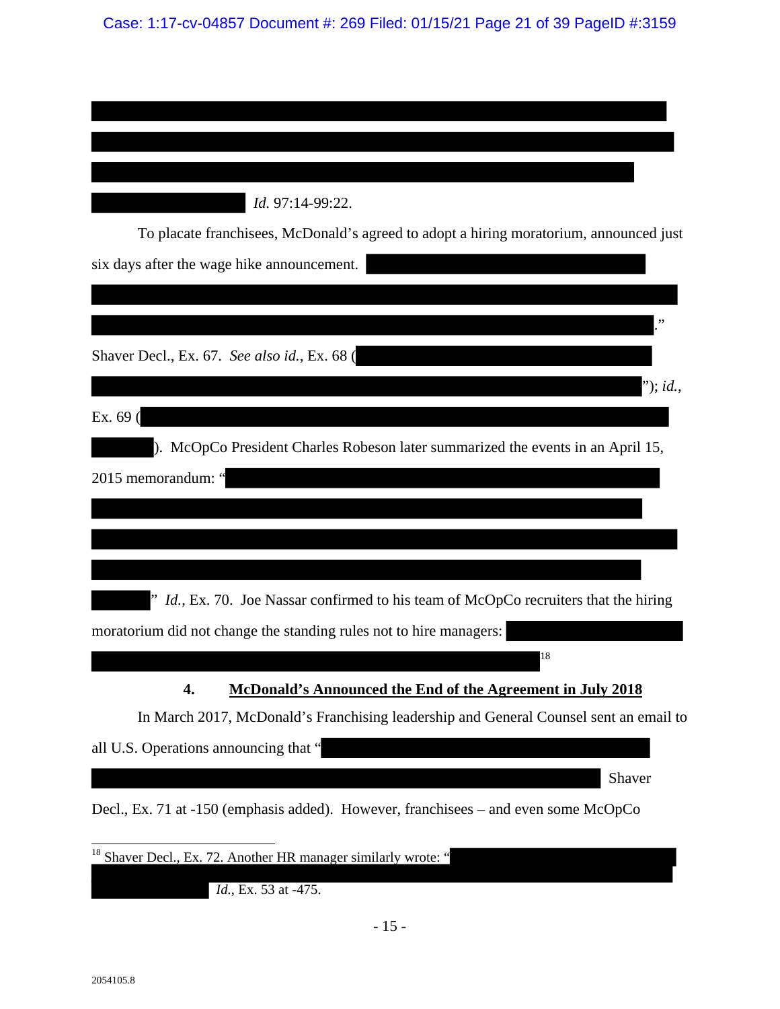| Id. 97:14-99:22.                                                                       |
|----------------------------------------------------------------------------------------|
| To placate franchisees, McDonald's agreed to adopt a hiring moratorium, announced just |
| six days after the wage hike announcement.                                             |
|                                                                                        |
|                                                                                        |
| Shaver Decl., Ex. 67. See also id., Ex. 68 (                                           |
| "); <i>id.</i> ,                                                                       |
| Ex. 69 (                                                                               |
| ). McOpCo President Charles Robeson later summarized the events in an April 15,        |
| 2015 memorandum: "                                                                     |
|                                                                                        |
|                                                                                        |
|                                                                                        |
| Id., Ex. 70. Joe Nassar confirmed to his team of McOpCo recruiters that the hiring     |
| moratorium did not change the standing rules not to hire managers:                     |
| 18                                                                                     |
| 4.<br><b>McDonald's Announced the End of the Agreement in July 2018</b>                |
| In March 2017, McDonald's Franchising leadership and General Counsel sent an email to  |
| all U.S. Operations announcing that "                                                  |
| Shaver                                                                                 |
| Decl., Ex. 71 at -150 (emphasis added). However, franchisees - and even some McOpCo    |
| <sup>18</sup> Shaver Decl., Ex. 72. Another HR manager similarly wrote: "              |
| Id., Ex. 53 at -475.                                                                   |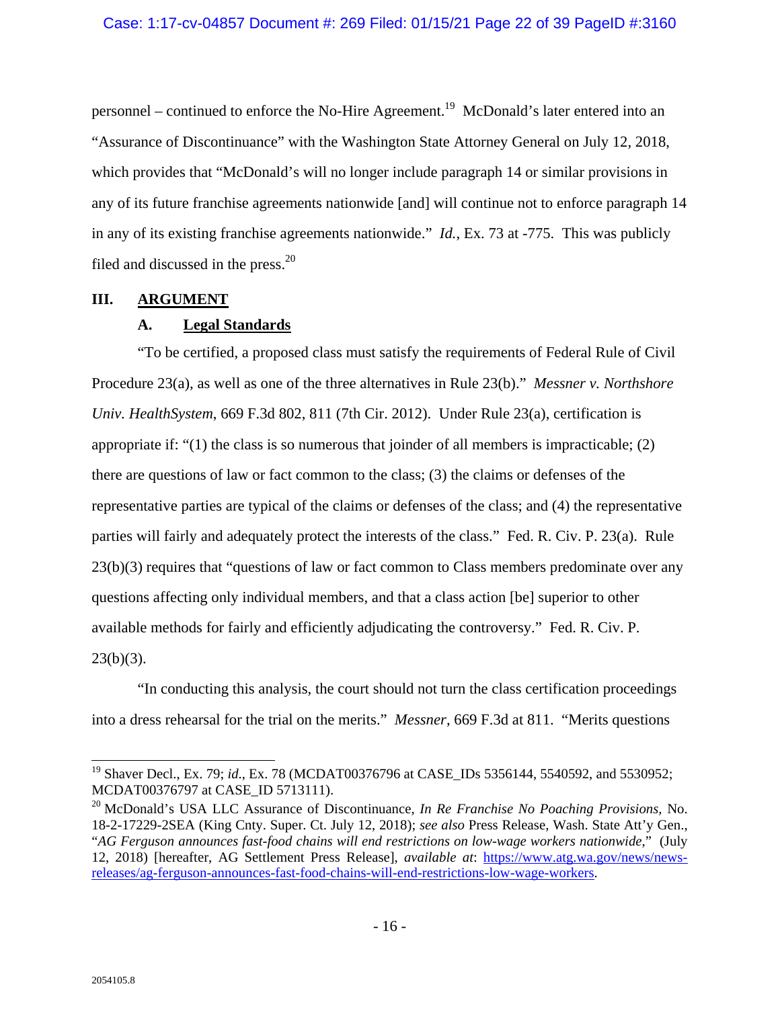personnel – continued to enforce the No-Hire Agreement.19 McDonald's later entered into an "Assurance of Discontinuance" with the Washington State Attorney General on July 12, 2018, which provides that "McDonald's will no longer include paragraph 14 or similar provisions in any of its future franchise agreements nationwide [and] will continue not to enforce paragraph 14 in any of its existing franchise agreements nationwide." *Id.*, Ex. 73 at -775. This was publicly filed and discussed in the press.<sup>20</sup>

#### **III. ARGUMENT**

## **A. Legal Standards**

"To be certified, a proposed class must satisfy the requirements of Federal Rule of Civil Procedure 23(a), as well as one of the three alternatives in Rule 23(b)." *Messner v. Northshore Univ. HealthSystem*, 669 F.3d 802, 811 (7th Cir. 2012). Under Rule 23(a), certification is appropriate if: " $(1)$  the class is so numerous that joinder of all members is impracticable;  $(2)$ there are questions of law or fact common to the class; (3) the claims or defenses of the representative parties are typical of the claims or defenses of the class; and (4) the representative parties will fairly and adequately protect the interests of the class." Fed. R. Civ. P. 23(a). Rule 23(b)(3) requires that "questions of law or fact common to Class members predominate over any questions affecting only individual members, and that a class action [be] superior to other available methods for fairly and efficiently adjudicating the controversy." Fed. R. Civ. P.  $23(b)(3)$ .

"In conducting this analysis, the court should not turn the class certification proceedings into a dress rehearsal for the trial on the merits." *Messner*, 669 F.3d at 811. "Merits questions

 $\overline{\phantom{a}}$ <sup>19</sup> Shaver Decl., Ex. 79; *id.*, Ex. 78 (MCDAT00376796 at CASE\_IDs 5356144, 5540592, and 5530952; MCDAT00376797 at CASE\_ID 5713111).

<sup>20</sup> McDonald's USA LLC Assurance of Discontinuance, *In Re Franchise No Poaching Provisions,* No. 18-2-17229-2SEA (King Cnty. Super. Ct. July 12, 2018); *see also* Press Release, Wash. State Att'y Gen., "*AG Ferguson announces fast-food chains will end restrictions on low-wage workers nationwide*," (July 12, 2018) [hereafter, AG Settlement Press Release], *available at*: https://www.atg.wa.gov/news/newsreleases/ag-ferguson-announces-fast-food-chains-will-end-restrictions-low-wage-workers.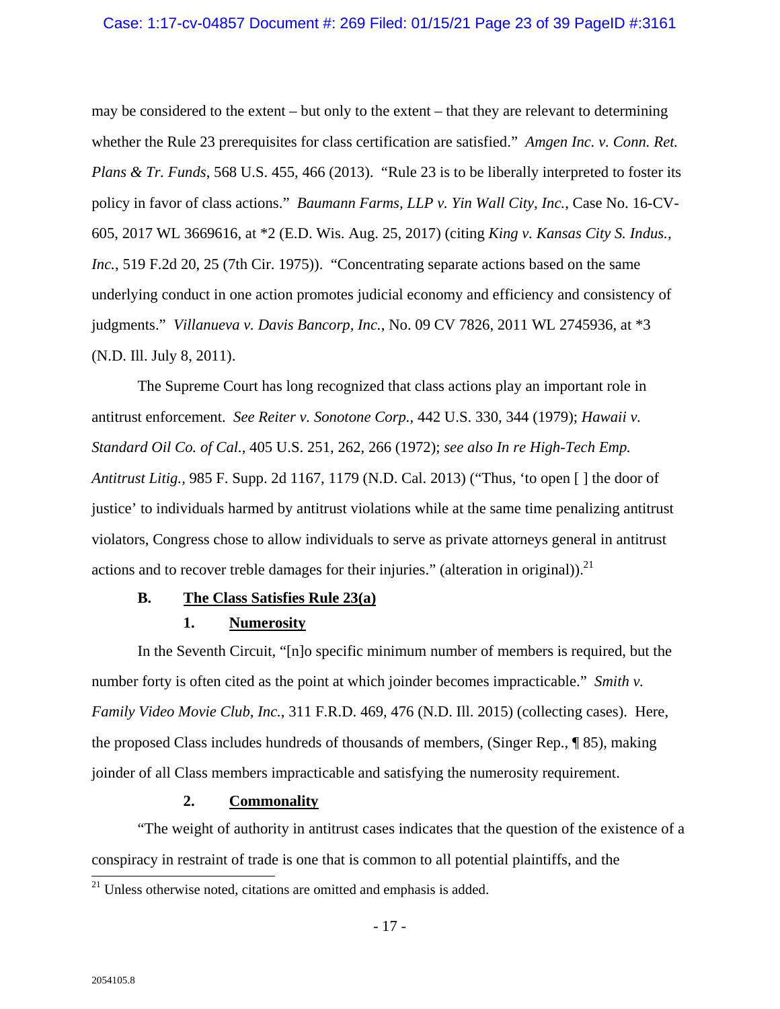#### Case: 1:17-cv-04857 Document #: 269 Filed: 01/15/21 Page 23 of 39 PageID #:3161

may be considered to the extent – but only to the extent – that they are relevant to determining whether the Rule 23 prerequisites for class certification are satisfied." *Amgen Inc. v. Conn. Ret. Plans & Tr. Funds*, 568 U.S. 455, 466 (2013). "Rule 23 is to be liberally interpreted to foster its policy in favor of class actions." *Baumann Farms, LLP v. Yin Wall City, Inc.*, Case No. 16-CV-605, 2017 WL 3669616, at \*2 (E.D. Wis. Aug. 25, 2017) (citing *King v. Kansas City S. Indus., Inc.*, 519 F.2d 20, 25 (7th Cir. 1975)). "Concentrating separate actions based on the same underlying conduct in one action promotes judicial economy and efficiency and consistency of judgments." *Villanueva v. Davis Bancorp, Inc.*, No. 09 CV 7826, 2011 WL 2745936, at \*3 (N.D. Ill. July 8, 2011).

The Supreme Court has long recognized that class actions play an important role in antitrust enforcement. *See Reiter v. Sonotone Corp.,* 442 U.S. 330, 344 (1979); *Hawaii v. Standard Oil Co. of Cal.*, 405 U.S. 251, 262, 266 (1972); *see also In re High-Tech Emp. Antitrust Litig.,* 985 F. Supp. 2d 1167, 1179 (N.D. Cal. 2013) ("Thus, 'to open [ ] the door of justice' to individuals harmed by antitrust violations while at the same time penalizing antitrust violators, Congress chose to allow individuals to serve as private attorneys general in antitrust actions and to recover treble damages for their injuries." (alteration in original)). $^{21}$ 

#### **B. The Class Satisfies Rule 23(a)**

#### **1. Numerosity**

In the Seventh Circuit, "[n]o specific minimum number of members is required, but the number forty is often cited as the point at which joinder becomes impracticable." *Smith v. Family Video Movie Club, Inc.*, 311 F.R.D. 469, 476 (N.D. Ill. 2015) (collecting cases). Here, the proposed Class includes hundreds of thousands of members, (Singer Rep., ¶ 85), making joinder of all Class members impracticable and satisfying the numerosity requirement.

#### **2. Commonality**

"The weight of authority in antitrust cases indicates that the question of the existence of a conspiracy in restraint of trade is one that is common to all potential plaintiffs, and the

<sup>&</sup>lt;sup>21</sup> Unless otherwise noted, citations are omitted and emphasis is added.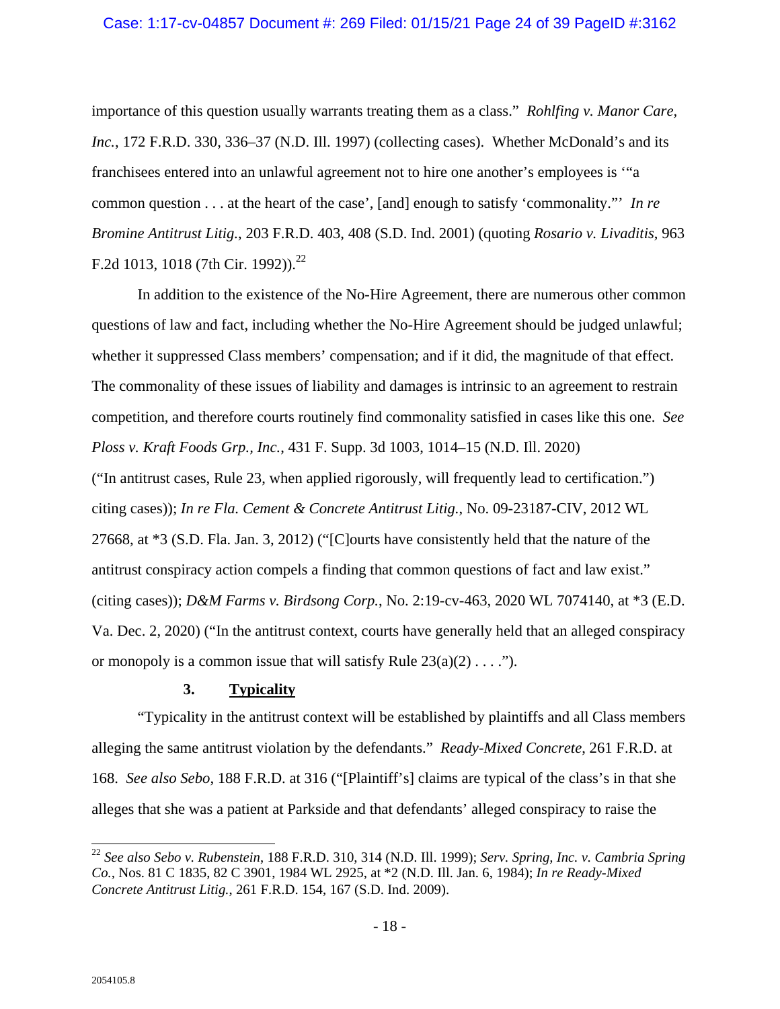importance of this question usually warrants treating them as a class." *Rohlfing v. Manor Care, Inc.*, 172 F.R.D. 330, 336–37 (N.D. Ill. 1997) (collecting cases). Whether McDonald's and its franchisees entered into an unlawful agreement not to hire one another's employees is '"a common question . . . at the heart of the case', [and] enough to satisfy 'commonality."' *In re Bromine Antitrust Litig.*, 203 F.R.D. 403, 408 (S.D. Ind. 2001) (quoting *Rosario v. Livaditis*, 963 F.2d 1013, 1018 (7th Cir. 1992)).<sup>22</sup>

In addition to the existence of the No-Hire Agreement, there are numerous other common questions of law and fact, including whether the No-Hire Agreement should be judged unlawful; whether it suppressed Class members' compensation; and if it did, the magnitude of that effect. The commonality of these issues of liability and damages is intrinsic to an agreement to restrain competition, and therefore courts routinely find commonality satisfied in cases like this one. *See Ploss v. Kraft Foods Grp., Inc.*, 431 F. Supp. 3d 1003, 1014–15 (N.D. Ill. 2020) ("In antitrust cases, Rule 23, when applied rigorously, will frequently lead to certification.") citing cases)); *In re Fla. Cement & Concrete Antitrust Litig.*, No. 09-23187-CIV, 2012 WL

27668, at \*3 (S.D. Fla. Jan. 3, 2012) ("[C]ourts have consistently held that the nature of the antitrust conspiracy action compels a finding that common questions of fact and law exist." (citing cases)); *D&M Farms v. Birdsong Corp.*, No. 2:19-cv-463, 2020 WL 7074140, at \*3 (E.D. Va. Dec. 2, 2020) ("In the antitrust context, courts have generally held that an alleged conspiracy or monopoly is a common issue that will satisfy Rule  $23(a)(2) \ldots$ .").

## **3. Typicality**

"Typicality in the antitrust context will be established by plaintiffs and all Class members alleging the same antitrust violation by the defendants." *Ready-Mixed Concrete*, 261 F.R.D. at 168. *See also Sebo*, 188 F.R.D. at 316 ("[Plaintiff's] claims are typical of the class's in that she alleges that she was a patient at Parkside and that defendants' alleged conspiracy to raise the

 $\overline{a}$ <sup>22</sup> *See also Sebo v. Rubenstein*, 188 F.R.D. 310, 314 (N.D. Ill. 1999); *Serv. Spring, Inc. v. Cambria Spring Co.,* Nos. 81 C 1835, 82 C 3901, 1984 WL 2925, at \*2 (N.D. Ill. Jan. 6, 1984); *In re Ready-Mixed Concrete Antitrust Litig.*, 261 F.R.D. 154, 167 (S.D. Ind. 2009).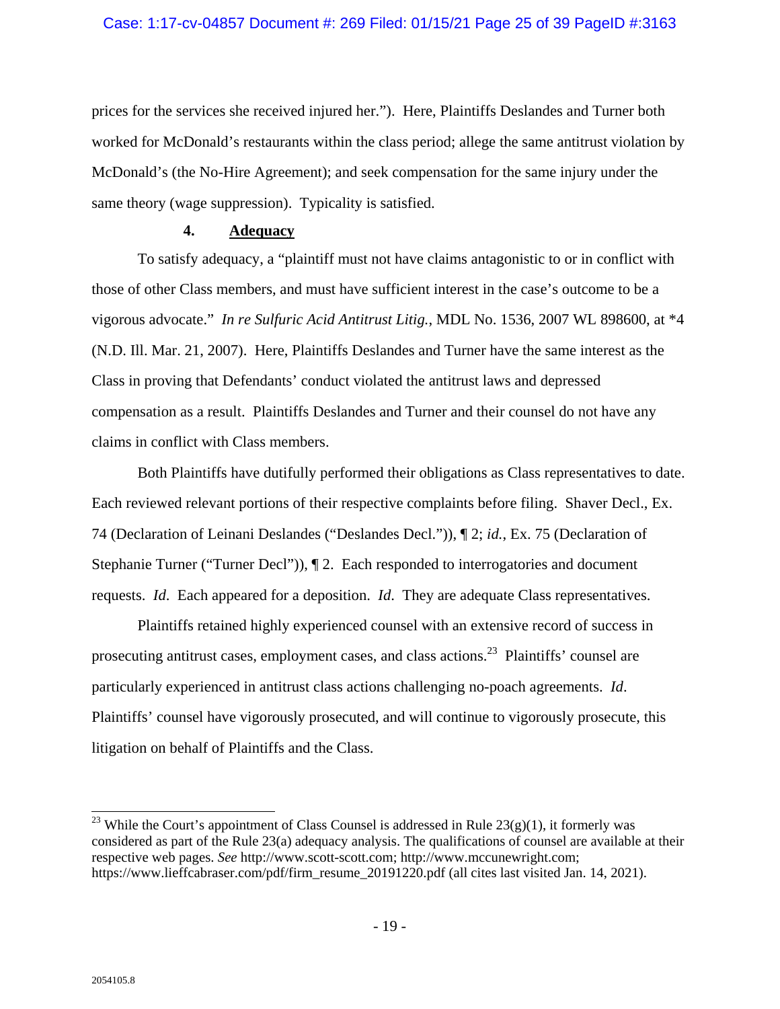prices for the services she received injured her."). Here, Plaintiffs Deslandes and Turner both worked for McDonald's restaurants within the class period; allege the same antitrust violation by McDonald's (the No-Hire Agreement); and seek compensation for the same injury under the same theory (wage suppression). Typicality is satisfied.

#### **4. Adequacy**

To satisfy adequacy, a "plaintiff must not have claims antagonistic to or in conflict with those of other Class members, and must have sufficient interest in the case's outcome to be a vigorous advocate." *In re Sulfuric Acid Antitrust Litig.*, MDL No. 1536, 2007 WL 898600, at \*4 (N.D. Ill. Mar. 21, 2007). Here, Plaintiffs Deslandes and Turner have the same interest as the Class in proving that Defendants' conduct violated the antitrust laws and depressed compensation as a result. Plaintiffs Deslandes and Turner and their counsel do not have any claims in conflict with Class members.

Both Plaintiffs have dutifully performed their obligations as Class representatives to date. Each reviewed relevant portions of their respective complaints before filing. Shaver Decl., Ex. 74 (Declaration of Leinani Deslandes ("Deslandes Decl.")), ¶ 2; *id.*, Ex. 75 (Declaration of Stephanie Turner ("Turner Decl")), ¶ 2. Each responded to interrogatories and document requests. *Id*. Each appeared for a deposition. *Id*. They are adequate Class representatives.

Plaintiffs retained highly experienced counsel with an extensive record of success in prosecuting antitrust cases, employment cases, and class actions.23 Plaintiffs' counsel are particularly experienced in antitrust class actions challenging no-poach agreements. *Id*. Plaintiffs' counsel have vigorously prosecuted, and will continue to vigorously prosecute, this litigation on behalf of Plaintiffs and the Class.

 $\overline{a}$ <sup>23</sup> While the Court's appointment of Class Counsel is addressed in Rule  $23(g)(1)$ , it formerly was considered as part of the Rule 23(a) adequacy analysis. The qualifications of counsel are available at their respective web pages. *See* http://www.scott-scott.com; http://www.mccunewright.com; https://www.lieffcabraser.com/pdf/firm\_resume\_20191220.pdf (all cites last visited Jan. 14, 2021).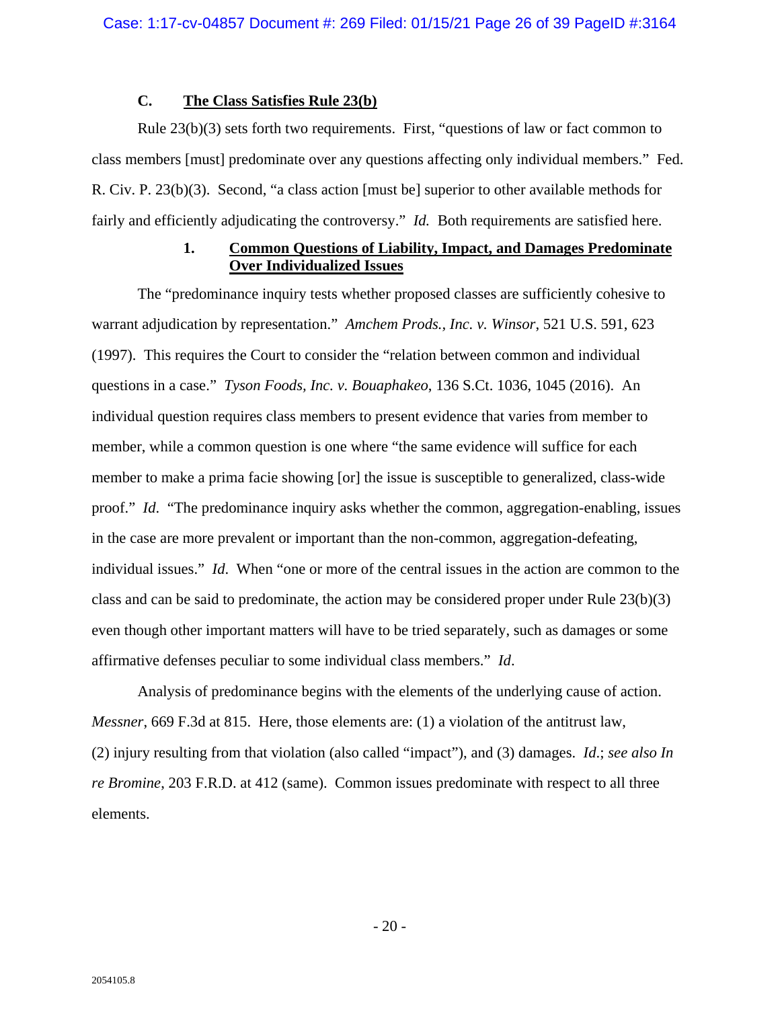## **C. The Class Satisfies Rule 23(b)**

Rule 23(b)(3) sets forth two requirements. First, "questions of law or fact common to class members [must] predominate over any questions affecting only individual members." Fed. R. Civ. P. 23(b)(3). Second, "a class action [must be] superior to other available methods for fairly and efficiently adjudicating the controversy." *Id.* Both requirements are satisfied here.

### **1. Common Questions of Liability, Impact, and Damages Predominate Over Individualized Issues**

The "predominance inquiry tests whether proposed classes are sufficiently cohesive to warrant adjudication by representation." *Amchem Prods., Inc. v. Winsor*, 521 U.S. 591, 623 (1997). This requires the Court to consider the "relation between common and individual questions in a case." *Tyson Foods, Inc. v. Bouaphakeo*, 136 S.Ct. 1036, 1045 (2016). An individual question requires class members to present evidence that varies from member to member, while a common question is one where "the same evidence will suffice for each member to make a prima facie showing [or] the issue is susceptible to generalized, class-wide proof." *Id*. "The predominance inquiry asks whether the common, aggregation-enabling, issues in the case are more prevalent or important than the non-common, aggregation-defeating, individual issues." *Id*. When "one or more of the central issues in the action are common to the class and can be said to predominate, the action may be considered proper under Rule 23(b)(3) even though other important matters will have to be tried separately, such as damages or some affirmative defenses peculiar to some individual class members." *Id*.

Analysis of predominance begins with the elements of the underlying cause of action. *Messner*, 669 F.3d at 815. Here, those elements are: (1) a violation of the antitrust law, (2) injury resulting from that violation (also called "impact"), and (3) damages. *Id*.; *see also In re Bromine*, 203 F.R.D. at 412 (same). Common issues predominate with respect to all three elements.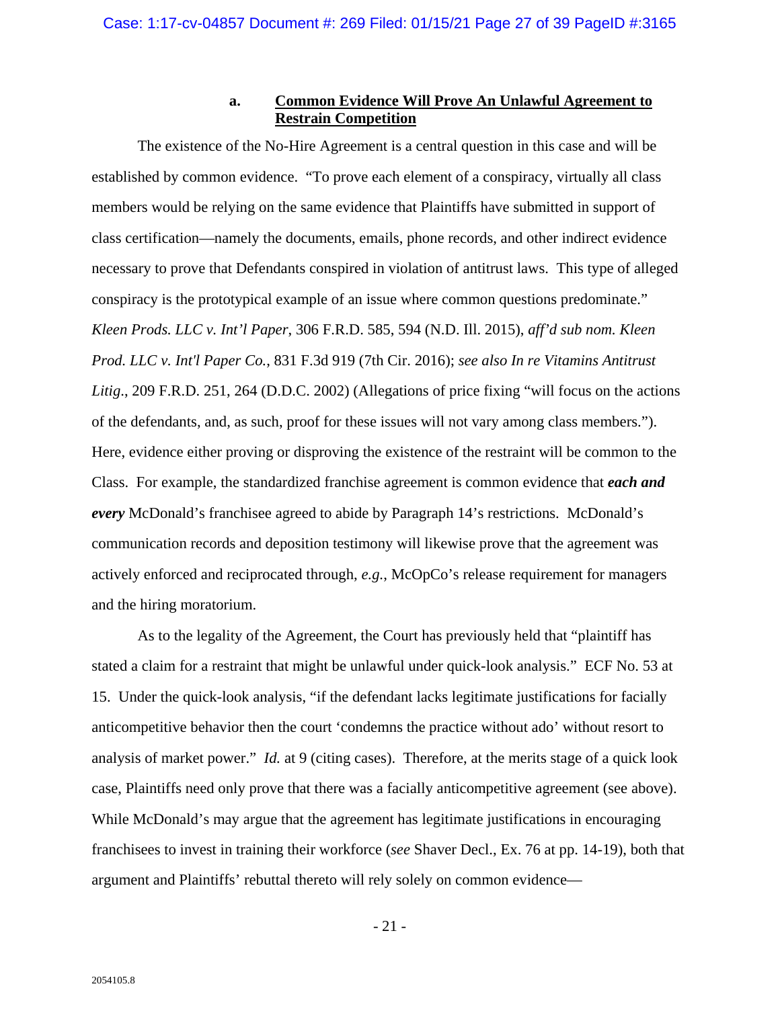## **a. Common Evidence Will Prove An Unlawful Agreement to Restrain Competition**

The existence of the No-Hire Agreement is a central question in this case and will be established by common evidence. "To prove each element of a conspiracy, virtually all class members would be relying on the same evidence that Plaintiffs have submitted in support of class certification—namely the documents, emails, phone records, and other indirect evidence necessary to prove that Defendants conspired in violation of antitrust laws. This type of alleged conspiracy is the prototypical example of an issue where common questions predominate." *Kleen Prods. LLC v. Int'l Paper*, 306 F.R.D. 585, 594 (N.D. Ill. 2015), *aff'd sub nom. Kleen Prod. LLC v. Int'l Paper Co.*, 831 F.3d 919 (7th Cir. 2016); *see also In re Vitamins Antitrust Litig*., 209 F.R.D. 251, 264 (D.D.C. 2002) (Allegations of price fixing "will focus on the actions of the defendants, and, as such, proof for these issues will not vary among class members."). Here, evidence either proving or disproving the existence of the restraint will be common to the Class.For example, the standardized franchise agreement is common evidence that *each and every* McDonald's franchisee agreed to abide by Paragraph 14's restrictions. McDonald's communication records and deposition testimony will likewise prove that the agreement was actively enforced and reciprocated through, *e.g.*, McOpCo's release requirement for managers and the hiring moratorium.

As to the legality of the Agreement, the Court has previously held that "plaintiff has stated a claim for a restraint that might be unlawful under quick-look analysis." ECF No. 53 at 15. Under the quick-look analysis, "if the defendant lacks legitimate justifications for facially anticompetitive behavior then the court 'condemns the practice without ado' without resort to analysis of market power." *Id.* at 9 (citing cases). Therefore, at the merits stage of a quick look case, Plaintiffs need only prove that there was a facially anticompetitive agreement (see above). While McDonald's may argue that the agreement has legitimate justifications in encouraging franchisees to invest in training their workforce (*see* Shaver Decl., Ex. 76 at pp. 14-19), both that argument and Plaintiffs' rebuttal thereto will rely solely on common evidence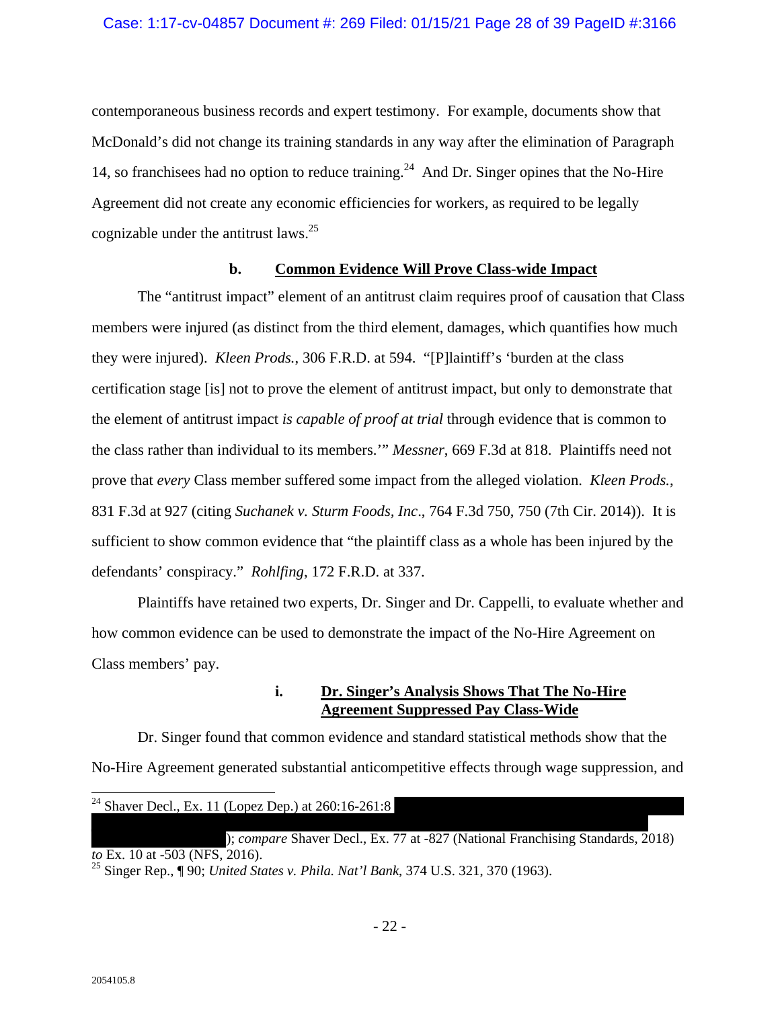contemporaneous business records and expert testimony. For example, documents show that McDonald's did not change its training standards in any way after the elimination of Paragraph 14, so franchisees had no option to reduce training.<sup>24</sup> And Dr. Singer opines that the No-Hire Agreement did not create any economic efficiencies for workers, as required to be legally cognizable under the antitrust laws. $^{25}$ 

#### **b. Common Evidence Will Prove Class-wide Impact**

The "antitrust impact" element of an antitrust claim requires proof of causation that Class members were injured (as distinct from the third element, damages, which quantifies how much they were injured). *Kleen Prods.*, 306 F.R.D. at 594. "[P]laintiff's 'burden at the class certification stage [is] not to prove the element of antitrust impact, but only to demonstrate that the element of antitrust impact *is capable of proof at trial* through evidence that is common to the class rather than individual to its members.'" *Messner*, 669 F.3d at 818. Plaintiffs need not prove that *every* Class member suffered some impact from the alleged violation. *Kleen Prods.*, 831 F.3d at 927 (citing *Suchanek v. Sturm Foods, Inc*., 764 F.3d 750, 750 (7th Cir. 2014)). It is sufficient to show common evidence that "the plaintiff class as a whole has been injured by the defendants' conspiracy." *Rohlfing*, 172 F.R.D. at 337.

Plaintiffs have retained two experts, Dr. Singer and Dr. Cappelli, to evaluate whether and how common evidence can be used to demonstrate the impact of the No-Hire Agreement on Class members' pay.

### **i. Dr. Singer's Analysis Shows That The No-Hire Agreement Suppressed Pay Class-Wide**

Dr. Singer found that common evidence and standard statistical methods show that the No-Hire Agreement generated substantial anticompetitive effects through wage suppression, and

| <sup>24</sup> Shaver Decl., Ex. 11 (Lopez Dep.) at $260:16-261:8$                                         |
|-----------------------------------------------------------------------------------------------------------|
|                                                                                                           |
| ); <i>compare</i> Shaver Decl., Ex. 77 at -827 (National Franchising Standards, 2018)                     |
| <i>to</i> Ex. 10 at -503 (NFS, 2016).                                                                     |
| <sup>25</sup> Singer Rep., $\P$ 90; <i>United States v. Phila. Nat'l Bank</i> , 374 U.S. 321, 370 (1963). |

 $\overline{\phantom{a}}$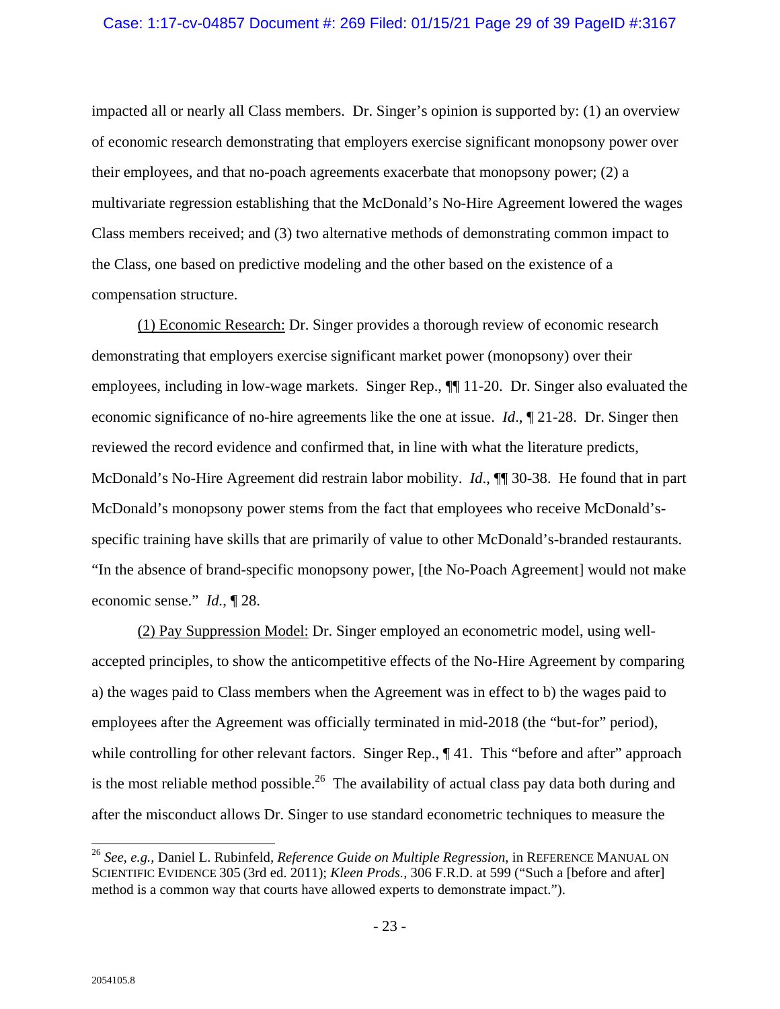impacted all or nearly all Class members. Dr. Singer's opinion is supported by: (1) an overview of economic research demonstrating that employers exercise significant monopsony power over their employees, and that no-poach agreements exacerbate that monopsony power; (2) a multivariate regression establishing that the McDonald's No-Hire Agreement lowered the wages Class members received; and (3) two alternative methods of demonstrating common impact to the Class, one based on predictive modeling and the other based on the existence of a compensation structure.

(1) Economic Research: Dr. Singer provides a thorough review of economic research demonstrating that employers exercise significant market power (monopsony) over their employees, including in low-wage markets. Singer Rep., ¶¶ 11-20. Dr. Singer also evaluated the economic significance of no-hire agreements like the one at issue. *Id*., ¶ 21-28. Dr. Singer then reviewed the record evidence and confirmed that, in line with what the literature predicts, McDonald's No-Hire Agreement did restrain labor mobility. *Id*., ¶¶ 30-38. He found that in part McDonald's monopsony power stems from the fact that employees who receive McDonald'sspecific training have skills that are primarily of value to other McDonald's-branded restaurants. "In the absence of brand-specific monopsony power, [the No-Poach Agreement] would not make economic sense." *Id.*, ¶ 28.

(2) Pay Suppression Model: Dr. Singer employed an econometric model, using wellaccepted principles, to show the anticompetitive effects of the No-Hire Agreement by comparing a) the wages paid to Class members when the Agreement was in effect to b) the wages paid to employees after the Agreement was officially terminated in mid-2018 (the "but-for" period), while controlling for other relevant factors. Singer Rep.,  $\P$  41. This "before and after" approach is the most reliable method possible.<sup>26</sup> The availability of actual class pay data both during and after the misconduct allows Dr. Singer to use standard econometric techniques to measure the

 $\overline{a}$ 

<sup>26</sup> *See*, *e.g.*, Daniel L. Rubinfeld*, Reference Guide on Multiple Regression*, in REFERENCE MANUAL ON SCIENTIFIC EVIDENCE 305 (3rd ed. 2011); *Kleen Prods.,* 306 F.R.D. at 599 ("Such a [before and after] method is a common way that courts have allowed experts to demonstrate impact.").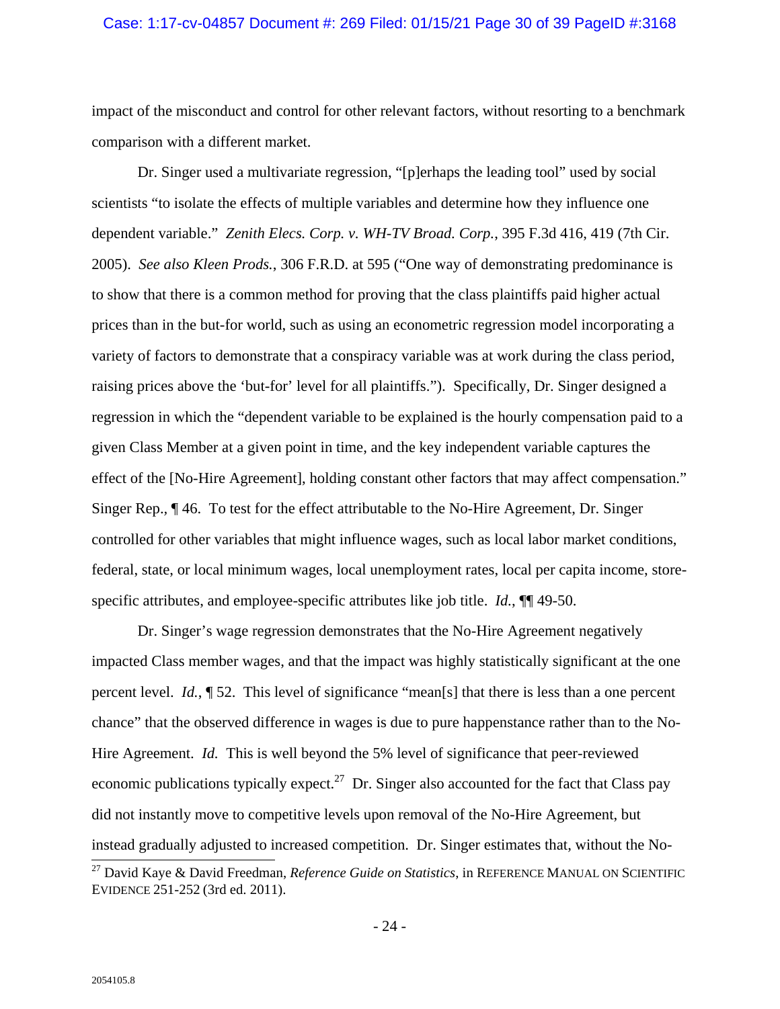#### Case: 1:17-cv-04857 Document #: 269 Filed: 01/15/21 Page 30 of 39 PageID #:3168

impact of the misconduct and control for other relevant factors, without resorting to a benchmark comparison with a different market.

Dr. Singer used a multivariate regression, "[p]erhaps the leading tool" used by social scientists "to isolate the effects of multiple variables and determine how they influence one dependent variable." *Zenith Elecs. Corp. v. WH-TV Broad. Corp.*, 395 F.3d 416, 419 (7th Cir. 2005). *See also Kleen Prods.*, 306 F.R.D. at 595 ("One way of demonstrating predominance is to show that there is a common method for proving that the class plaintiffs paid higher actual prices than in the but-for world, such as using an econometric regression model incorporating a variety of factors to demonstrate that a conspiracy variable was at work during the class period, raising prices above the 'but-for' level for all plaintiffs."). Specifically, Dr. Singer designed a regression in which the "dependent variable to be explained is the hourly compensation paid to a given Class Member at a given point in time, and the key independent variable captures the effect of the [No-Hire Agreement], holding constant other factors that may affect compensation." Singer Rep.*,* ¶ 46. To test for the effect attributable to the No-Hire Agreement, Dr. Singer controlled for other variables that might influence wages, such as local labor market conditions, federal, state, or local minimum wages, local unemployment rates, local per capita income, storespecific attributes, and employee-specific attributes like job title. *Id.*, ¶¶ 49-50.

Dr. Singer's wage regression demonstrates that the No-Hire Agreement negatively impacted Class member wages, and that the impact was highly statistically significant at the one percent level. *Id.*, ¶ 52. This level of significance "mean[s] that there is less than a one percent chance" that the observed difference in wages is due to pure happenstance rather than to the No-Hire Agreement. *Id.* This is well beyond the 5% level of significance that peer-reviewed economic publications typically expect.<sup>27</sup> Dr. Singer also accounted for the fact that Class pay did not instantly move to competitive levels upon removal of the No-Hire Agreement, but instead gradually adjusted to increased competition. Dr. Singer estimates that, without the No-  $\overline{a}$ 

<sup>27</sup> David Kaye & David Freedman, *Reference Guide on Statistics*, in REFERENCE MANUAL ON SCIENTIFIC EVIDENCE 251-252 (3rd ed. 2011).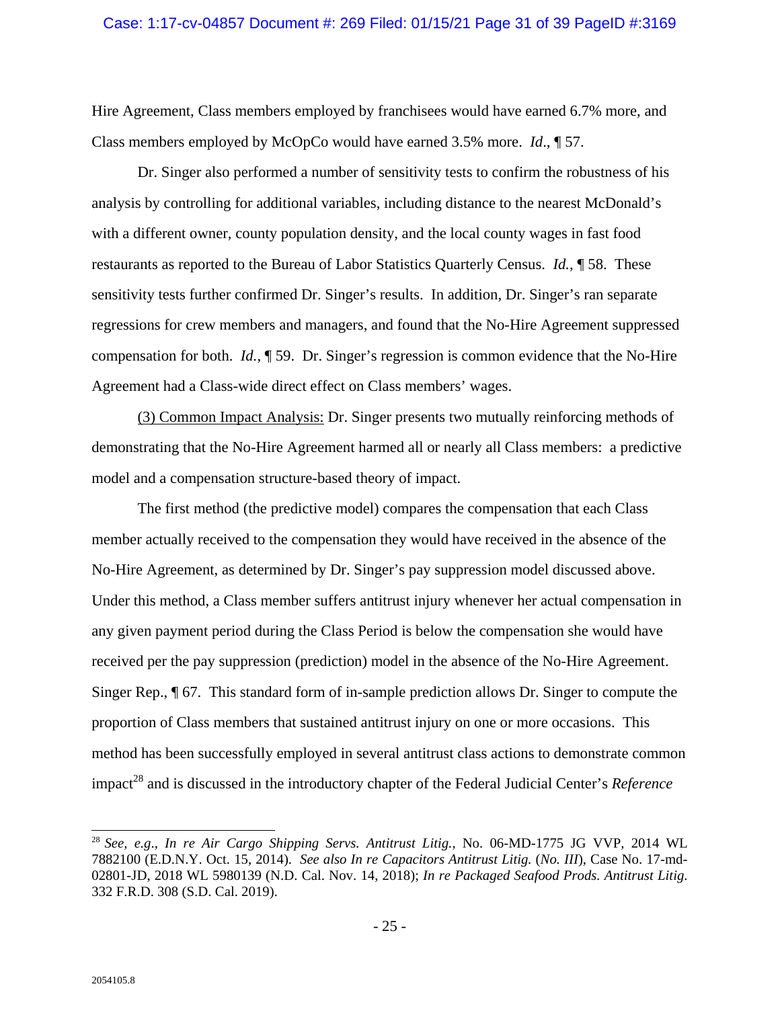Hire Agreement, Class members employed by franchisees would have earned 6.7% more, and Class members employed by McOpCo would have earned 3.5% more. *Id*., ¶ 57.

Dr. Singer also performed a number of sensitivity tests to confirm the robustness of his analysis by controlling for additional variables, including distance to the nearest McDonald's with a different owner, county population density, and the local county wages in fast food restaurants as reported to the Bureau of Labor Statistics Quarterly Census. *Id.*, ¶ 58. These sensitivity tests further confirmed Dr. Singer's results. In addition, Dr. Singer's ran separate regressions for crew members and managers, and found that the No-Hire Agreement suppressed compensation for both. *Id.*, ¶ 59. Dr. Singer's regression is common evidence that the No-Hire Agreement had a Class-wide direct effect on Class members' wages.

(3) Common Impact Analysis: Dr. Singer presents two mutually reinforcing methods of demonstrating that the No-Hire Agreement harmed all or nearly all Class members: a predictive model and a compensation structure-based theory of impact.

The first method (the predictive model) compares the compensation that each Class member actually received to the compensation they would have received in the absence of the No-Hire Agreement, as determined by Dr. Singer's pay suppression model discussed above. Under this method, a Class member suffers antitrust injury whenever her actual compensation in any given payment period during the Class Period is below the compensation she would have received per the pay suppression (prediction) model in the absence of the No-Hire Agreement. Singer Rep., ¶ 67. This standard form of in-sample prediction allows Dr. Singer to compute the proportion of Class members that sustained antitrust injury on one or more occasions. This method has been successfully employed in several antitrust class actions to demonstrate common impact<sup>28</sup> and is discussed in the introductory chapter of the Federal Judicial Center's *Reference* 

 $\overline{a}$ 

<sup>28</sup> *See, e.g*., *In re Air Cargo Shipping Servs. Antitrust Litig.*, No. 06-MD-1775 JG VVP, 2014 WL 7882100 (E.D.N.Y. Oct. 15, 2014). *See also In re Capacitors Antitrust Litig.* (*No. III*), Case No. 17-md-02801-JD, 2018 WL 5980139 (N.D. Cal. Nov. 14, 2018); *In re Packaged Seafood Prods. Antitrust Litig*. 332 F.R.D. 308 (S.D. Cal. 2019).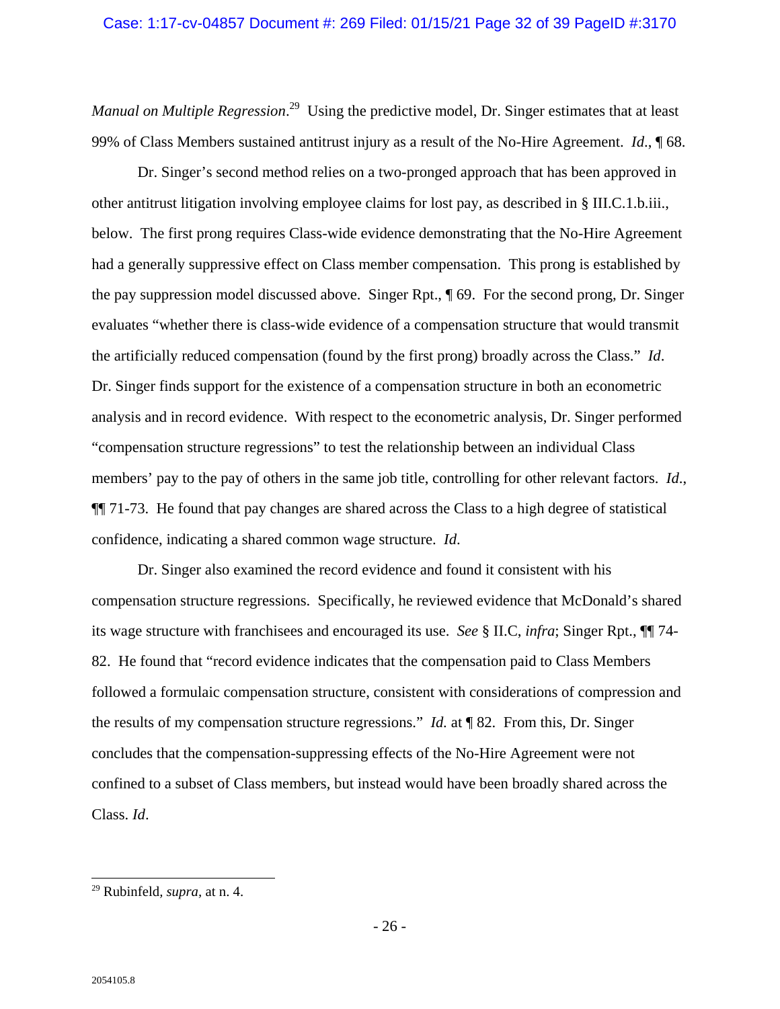Manual on Multiple Regression.<sup>29</sup> Using the predictive model, Dr. Singer estimates that at least 99% of Class Members sustained antitrust injury as a result of the No-Hire Agreement. *Id*., ¶ 68.

Dr. Singer's second method relies on a two-pronged approach that has been approved in other antitrust litigation involving employee claims for lost pay, as described in § III.C.1.b.iii., below. The first prong requires Class-wide evidence demonstrating that the No-Hire Agreement had a generally suppressive effect on Class member compensation. This prong is established by the pay suppression model discussed above. Singer Rpt., ¶ 69. For the second prong, Dr. Singer evaluates "whether there is class-wide evidence of a compensation structure that would transmit the artificially reduced compensation (found by the first prong) broadly across the Class." *Id*. Dr. Singer finds support for the existence of a compensation structure in both an econometric analysis and in record evidence. With respect to the econometric analysis, Dr. Singer performed "compensation structure regressions" to test the relationship between an individual Class members' pay to the pay of others in the same job title, controlling for other relevant factors. *Id*., ¶¶ 71-73. He found that pay changes are shared across the Class to a high degree of statistical confidence, indicating a shared common wage structure. *Id*.

Dr. Singer also examined the record evidence and found it consistent with his compensation structure regressions. Specifically, he reviewed evidence that McDonald's shared its wage structure with franchisees and encouraged its use. *See* § II.C, *infra*; Singer Rpt., ¶¶ 74- 82. He found that "record evidence indicates that the compensation paid to Class Members followed a formulaic compensation structure, consistent with considerations of compression and the results of my compensation structure regressions." *Id.* at ¶ 82. From this, Dr. Singer concludes that the compensation-suppressing effects of the No-Hire Agreement were not confined to a subset of Class members, but instead would have been broadly shared across the Class. *Id*.

<sup>1</sup> 29 Rubinfeld*, supra,* at n. 4.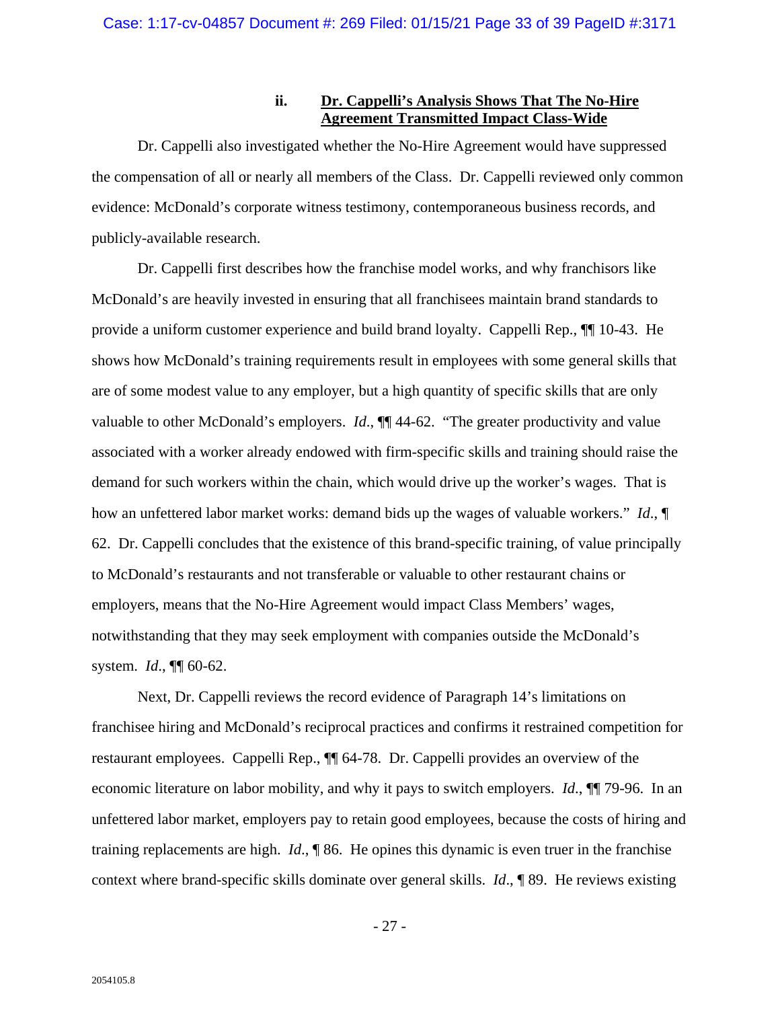### **ii. Dr. Cappelli's Analysis Shows That The No-Hire Agreement Transmitted Impact Class-Wide**

Dr. Cappelli also investigated whether the No-Hire Agreement would have suppressed the compensation of all or nearly all members of the Class. Dr. Cappelli reviewed only common evidence: McDonald's corporate witness testimony, contemporaneous business records, and publicly-available research.

Dr. Cappelli first describes how the franchise model works, and why franchisors like McDonald's are heavily invested in ensuring that all franchisees maintain brand standards to provide a uniform customer experience and build brand loyalty. Cappelli Rep., ¶¶ 10-43. He shows how McDonald's training requirements result in employees with some general skills that are of some modest value to any employer, but a high quantity of specific skills that are only valuable to other McDonald's employers. *Id*., ¶¶ 44-62. "The greater productivity and value associated with a worker already endowed with firm-specific skills and training should raise the demand for such workers within the chain, which would drive up the worker's wages. That is how an unfettered labor market works: demand bids up the wages of valuable workers." *Id*., ¶ 62. Dr. Cappelli concludes that the existence of this brand-specific training, of value principally to McDonald's restaurants and not transferable or valuable to other restaurant chains or employers, means that the No-Hire Agreement would impact Class Members' wages, notwithstanding that they may seek employment with companies outside the McDonald's system. *Id*., ¶¶ 60-62.

Next, Dr. Cappelli reviews the record evidence of Paragraph 14's limitations on franchisee hiring and McDonald's reciprocal practices and confirms it restrained competition for restaurant employees. Cappelli Rep., ¶¶ 64-78. Dr. Cappelli provides an overview of the economic literature on labor mobility, and why it pays to switch employers. *Id*., ¶¶ 79-96. In an unfettered labor market, employers pay to retain good employees, because the costs of hiring and training replacements are high. *Id*., ¶ 86. He opines this dynamic is even truer in the franchise context where brand-specific skills dominate over general skills. *Id*., ¶ 89. He reviews existing

- 27 -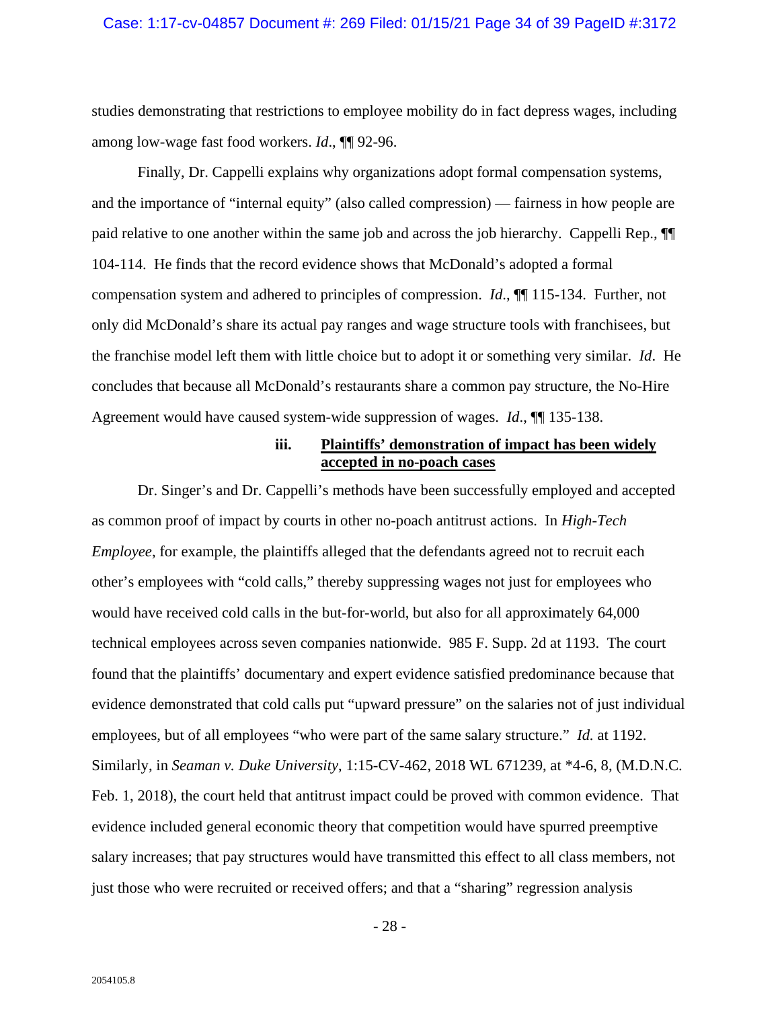studies demonstrating that restrictions to employee mobility do in fact depress wages, including among low-wage fast food workers. *Id*., ¶¶ 92-96.

Finally, Dr. Cappelli explains why organizations adopt formal compensation systems, and the importance of "internal equity" (also called compression) — fairness in how people are paid relative to one another within the same job and across the job hierarchy. Cappelli Rep., ¶¶ 104-114. He finds that the record evidence shows that McDonald's adopted a formal compensation system and adhered to principles of compression. *Id*., ¶¶ 115-134. Further, not only did McDonald's share its actual pay ranges and wage structure tools with franchisees, but the franchise model left them with little choice but to adopt it or something very similar. *Id*. He concludes that because all McDonald's restaurants share a common pay structure, the No-Hire Agreement would have caused system-wide suppression of wages. *Id*., ¶¶ 135-138.

### **iii. Plaintiffs' demonstration of impact has been widely accepted in no-poach cases**

Dr. Singer's and Dr. Cappelli's methods have been successfully employed and accepted as common proof of impact by courts in other no-poach antitrust actions. In *High-Tech Employee*, for example, the plaintiffs alleged that the defendants agreed not to recruit each other's employees with "cold calls," thereby suppressing wages not just for employees who would have received cold calls in the but-for-world, but also for all approximately 64,000 technical employees across seven companies nationwide. 985 F. Supp. 2d at 1193. The court found that the plaintiffs' documentary and expert evidence satisfied predominance because that evidence demonstrated that cold calls put "upward pressure" on the salaries not of just individual employees, but of all employees "who were part of the same salary structure." *Id.* at 1192. Similarly, in *Seaman v. Duke University*, 1:15-CV-462, 2018 WL 671239, at \*4-6, 8, (M.D.N.C. Feb. 1, 2018), the court held that antitrust impact could be proved with common evidence. That evidence included general economic theory that competition would have spurred preemptive salary increases; that pay structures would have transmitted this effect to all class members, not just those who were recruited or received offers; and that a "sharing" regression analysis

- 28 -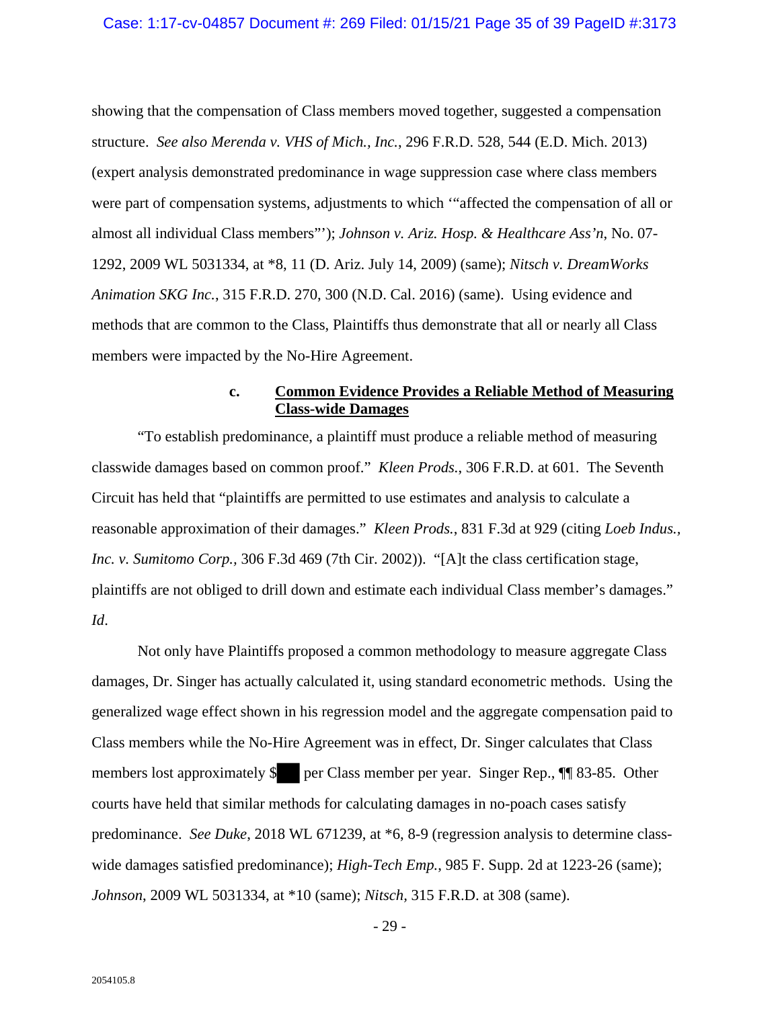showing that the compensation of Class members moved together, suggested a compensation structure. *See also Merenda v. VHS of Mich., Inc.*, 296 F.R.D. 528, 544 (E.D. Mich. 2013) (expert analysis demonstrated predominance in wage suppression case where class members were part of compensation systems, adjustments to which '"affected the compensation of all or almost all individual Class members"'); *Johnson v. Ariz. Hosp. & Healthcare Ass'n*, No. 07- 1292, 2009 WL 5031334, at \*8, 11 (D. Ariz. July 14, 2009) (same); *Nitsch v. DreamWorks Animation SKG Inc.*, 315 F.R.D. 270, 300 (N.D. Cal. 2016) (same). Using evidence and methods that are common to the Class, Plaintiffs thus demonstrate that all or nearly all Class members were impacted by the No-Hire Agreement.

## **c. Common Evidence Provides a Reliable Method of Measuring Class-wide Damages**

"To establish predominance, a plaintiff must produce a reliable method of measuring classwide damages based on common proof." *Kleen Prods.*, 306 F.R.D. at 601. The Seventh Circuit has held that "plaintiffs are permitted to use estimates and analysis to calculate a reasonable approximation of their damages." *Kleen Prods.*, 831 F.3d at 929 (citing *Loeb Indus., Inc. v. Sumitomo Corp.,* 306 F.3d 469 (7th Cir. 2002)). "[A]t the class certification stage, plaintiffs are not obliged to drill down and estimate each individual Class member's damages." *Id*.

Not only have Plaintiffs proposed a common methodology to measure aggregate Class damages, Dr. Singer has actually calculated it, using standard econometric methods. Using the generalized wage effect shown in his regression model and the aggregate compensation paid to Class members while the No-Hire Agreement was in effect, Dr. Singer calculates that Class members lost approximately \$ per Class member per year. Singer Rep.,  $\P$  83-85. Other courts have held that similar methods for calculating damages in no-poach cases satisfy predominance. *See Duke*, 2018 WL 671239, at \*6, 8-9 (regression analysis to determine classwide damages satisfied predominance); *High-Tech Emp.*, 985 F. Supp. 2d at 1223-26 (same); *Johnson*, 2009 WL 5031334, at \*10 (same); *Nitsch,* 315 F.R.D. at 308 (same).

 $- 29 -$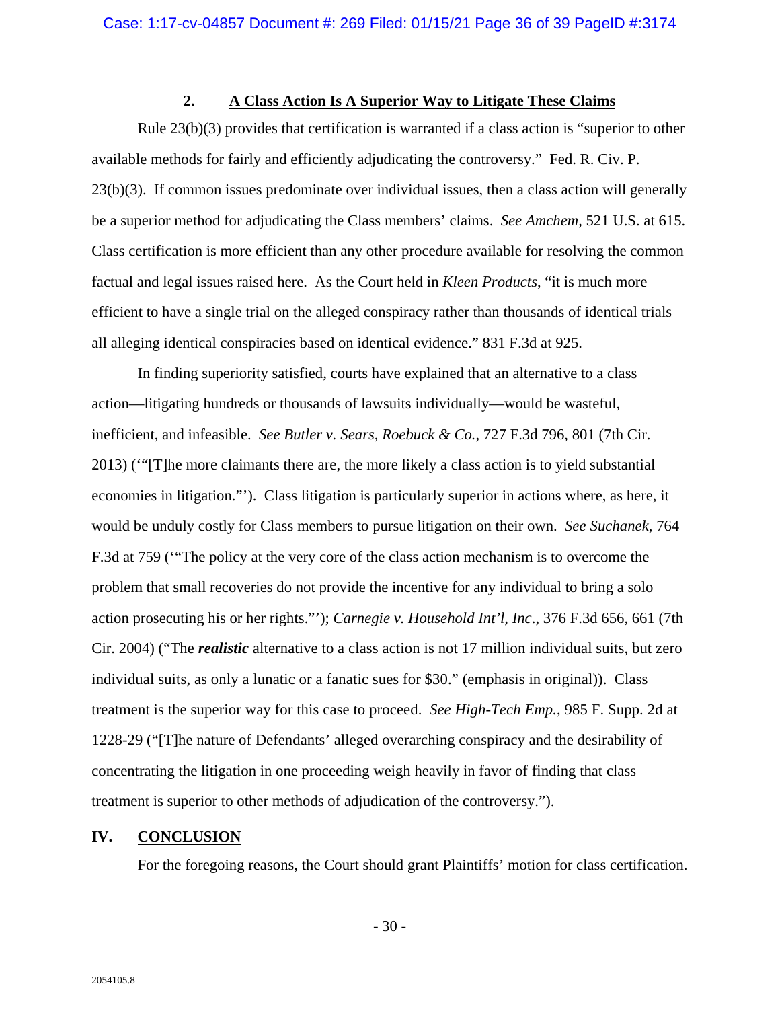## **2. A Class Action Is A Superior Way to Litigate These Claims**

Rule 23(b)(3) provides that certification is warranted if a class action is "superior to other available methods for fairly and efficiently adjudicating the controversy." Fed. R. Civ. P. 23(b)(3). If common issues predominate over individual issues, then a class action will generally be a superior method for adjudicating the Class members' claims. *See Amchem,* 521 U.S. at 615. Class certification is more efficient than any other procedure available for resolving the common factual and legal issues raised here. As the Court held in *Kleen Products*, "it is much more efficient to have a single trial on the alleged conspiracy rather than thousands of identical trials all alleging identical conspiracies based on identical evidence." 831 F.3d at 925.

In finding superiority satisfied, courts have explained that an alternative to a class action—litigating hundreds or thousands of lawsuits individually—would be wasteful, inefficient, and infeasible. *See Butler v. Sears, Roebuck & Co.*, 727 F.3d 796, 801 (7th Cir. 2013) ('"[T]he more claimants there are, the more likely a class action is to yield substantial economies in litigation."'). Class litigation is particularly superior in actions where, as here, it would be unduly costly for Class members to pursue litigation on their own. *See Suchanek*, 764 F.3d at 759 ('"The policy at the very core of the class action mechanism is to overcome the problem that small recoveries do not provide the incentive for any individual to bring a solo action prosecuting his or her rights."'); *Carnegie v. Household Int'l, Inc*., 376 F.3d 656, 661 (7th Cir. 2004) ("The *realistic* alternative to a class action is not 17 million individual suits, but zero individual suits, as only a lunatic or a fanatic sues for \$30." (emphasis in original)). Class treatment is the superior way for this case to proceed. *See High-Tech Emp.*, 985 F. Supp. 2d at 1228-29 ("[T]he nature of Defendants' alleged overarching conspiracy and the desirability of concentrating the litigation in one proceeding weigh heavily in favor of finding that class treatment is superior to other methods of adjudication of the controversy.").

# **IV. CONCLUSION**

For the foregoing reasons, the Court should grant Plaintiffs' motion for class certification.

 $-30-$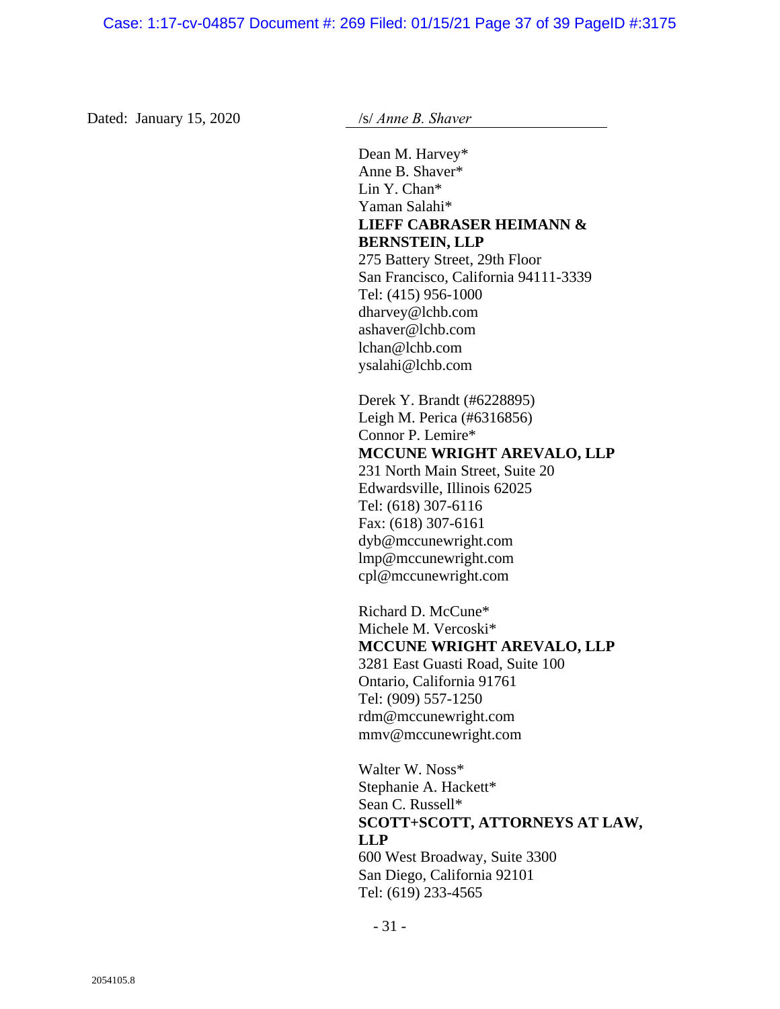Dated: January 15, 2020 /s/ *Anne B. Shaver* 

Dean M. Harvey\* Anne B. Shaver\* Lin Y. Chan\* Yaman Salahi\* **LIEFF CABRASER HEIMANN & BERNSTEIN, LLP**  275 Battery Street, 29th Floor San Francisco, California 94111-3339 Tel: (415) 956-1000 dharvey@lchb.com ashaver@lchb.com lchan@lchb.com ysalahi@lchb.com Derek Y. Brandt (#6228895) Leigh M. Perica (#6316856) Connor P. Lemire\* **MCCUNE WRIGHT AREVALO, LLP**  231 North Main Street, Suite 20 Edwardsville, Illinois 62025 Tel: (618) 307-6116 Fax: (618) 307-6161

dyb@mccunewright.com lmp@mccunewright.com cpl@mccunewright.com

Richard D. McCune\* Michele M. Vercoski\* **MCCUNE WRIGHT AREVALO, LLP**  3281 East Guasti Road, Suite 100 Ontario, California 91761 Tel: (909) 557-1250 rdm@mccunewright.com mmv@mccunewright.com

Walter W. Noss\* Stephanie A. Hackett\* Sean C. Russell\* **SCOTT+SCOTT, ATTORNEYS AT LAW, LLP**  600 West Broadway, Suite 3300 San Diego, California 92101 Tel: (619) 233-4565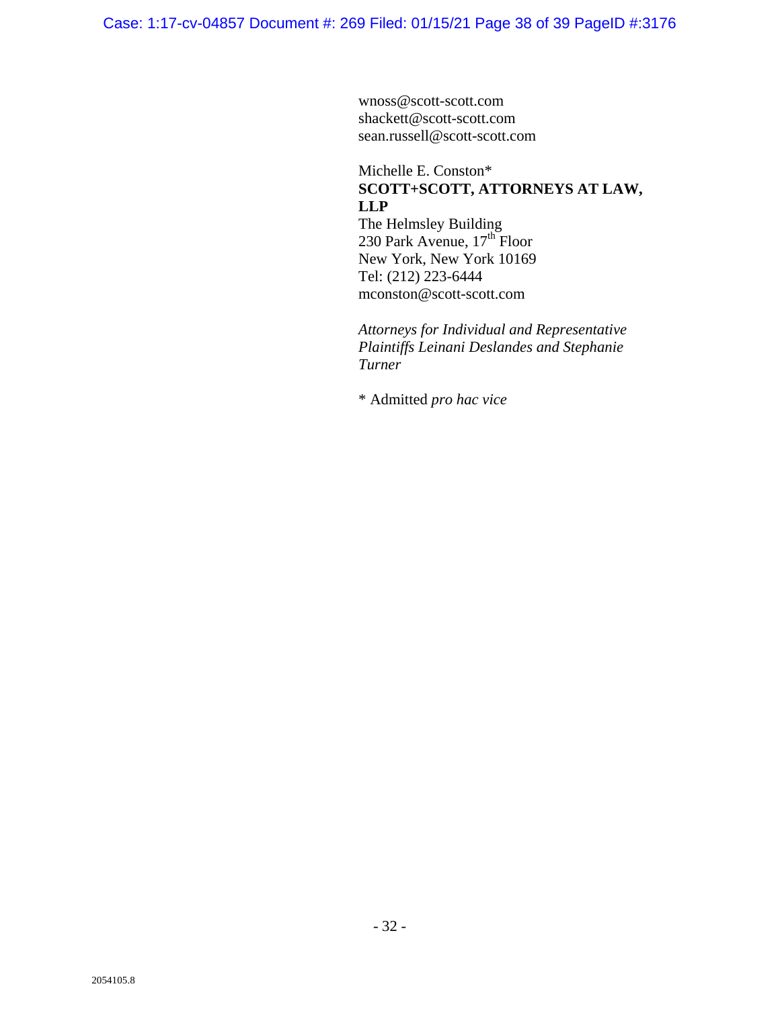wnoss@scott-scott.com shackett@scott-scott.com sean.russell@scott-scott.com

## Michelle E. Conston\* **SCOTT+SCOTT, ATTORNEYS AT LAW, LLP**  The Helmsley Building

230 Park Avenue,  $17^{\text{th}}$  Floor New York, New York 10169 Tel: (212) 223-6444 mconston@scott-scott.com

*Attorneys for Individual and Representative Plaintiffs Leinani Deslandes and Stephanie Turner* 

\* Admitted *pro hac vice*